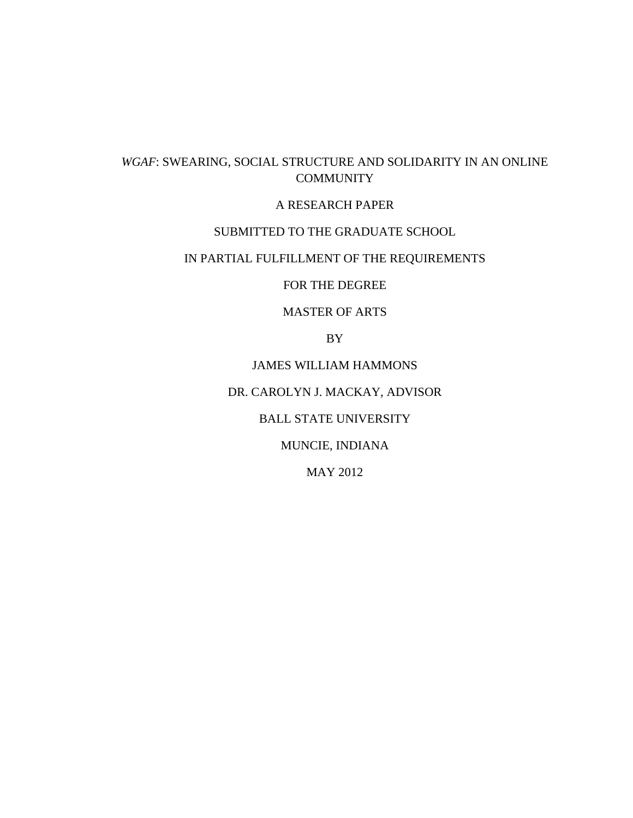# *WGAF*: SWEARING, SOCIAL STRUCTURE AND SOLIDARITY IN AN ONLINE **COMMUNITY**

## A RESEARCH PAPER

## SUBMITTED TO THE GRADUATE SCHOOL

# IN PARTIAL FULFILLMENT OF THE REQUIREMENTS

FOR THE DEGREE

MASTER OF ARTS

BY

JAMES WILLIAM HAMMONS

DR. CAROLYN J. MACKAY, ADVISOR

BALL STATE UNIVERSITY

MUNCIE, INDIANA

MAY 2012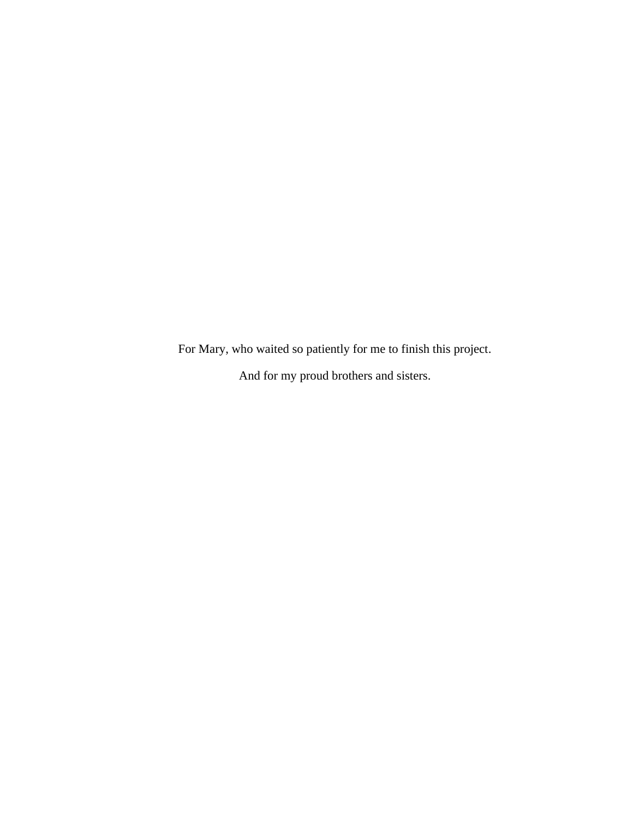For Mary, who waited so patiently for me to finish this project. And for my proud brothers and sisters.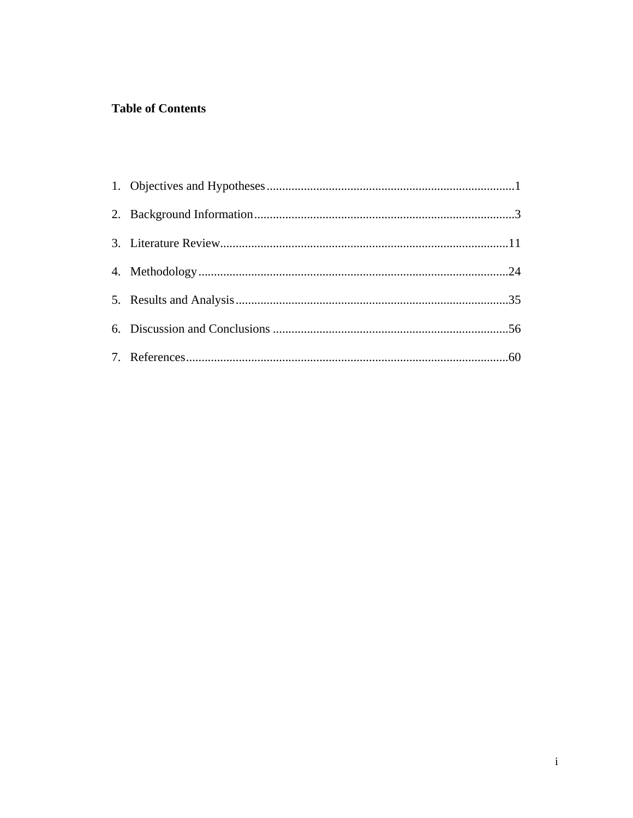# **Table of Contents**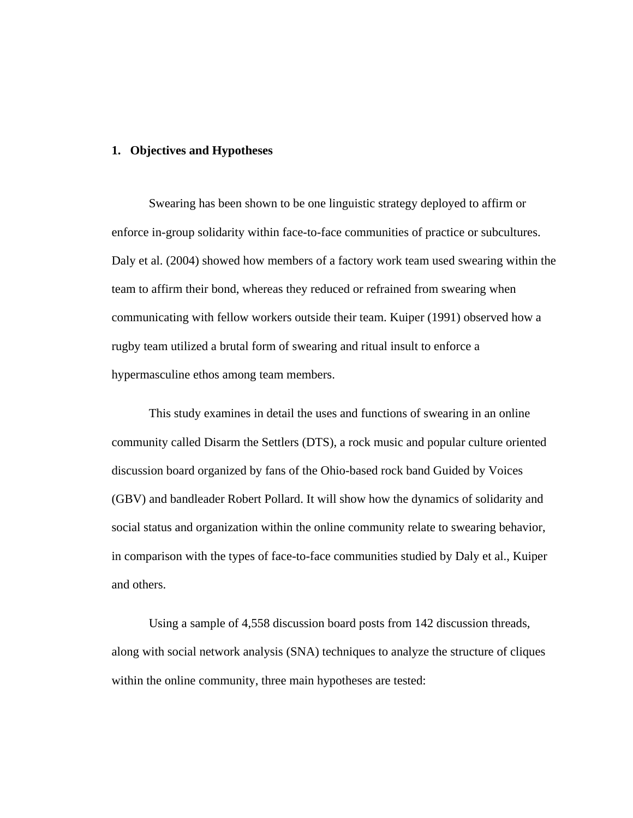## **1. Objectives and Hypotheses**

Swearing has been shown to be one linguistic strategy deployed to affirm or enforce in-group solidarity within face-to-face communities of practice or subcultures. Daly et al. (2004) showed how members of a factory work team used swearing within the team to affirm their bond, whereas they reduced or refrained from swearing when communicating with fellow workers outside their team. Kuiper (1991) observed how a rugby team utilized a brutal form of swearing and ritual insult to enforce a hypermasculine ethos among team members.

This study examines in detail the uses and functions of swearing in an online community called Disarm the Settlers (DTS), a rock music and popular culture oriented discussion board organized by fans of the Ohio-based rock band Guided by Voices (GBV) and bandleader Robert Pollard. It will show how the dynamics of solidarity and social status and organization within the online community relate to swearing behavior, in comparison with the types of face-to-face communities studied by Daly et al., Kuiper and others.

Using a sample of 4,558 discussion board posts from 142 discussion threads, along with social network analysis (SNA) techniques to analyze the structure of cliques within the online community, three main hypotheses are tested: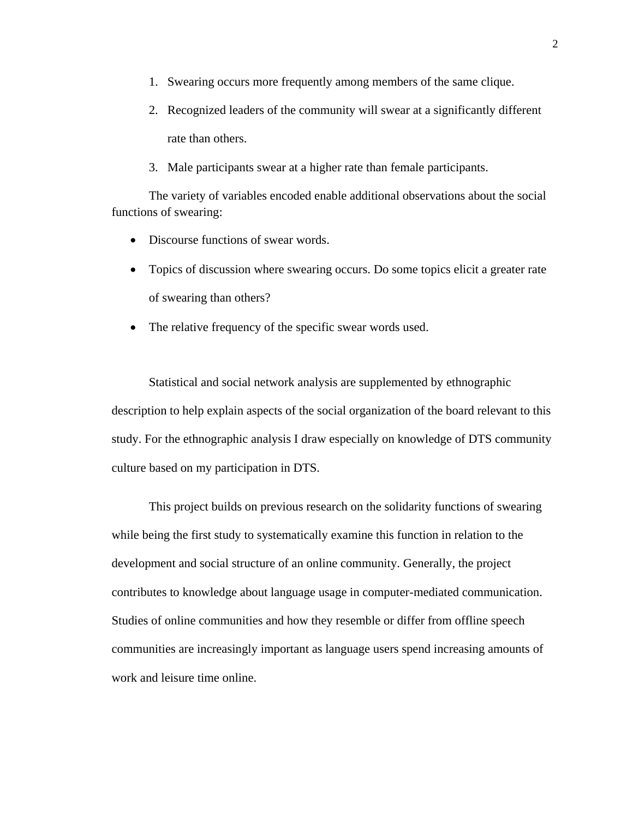- 1. Swearing occurs more frequently among members of the same clique.
- 2. Recognized leaders of the community will swear at a significantly different rate than others.
- 3. Male participants swear at a higher rate than female participants.

The variety of variables encoded enable additional observations about the social functions of swearing:

- Discourse functions of swear words.
- Topics of discussion where swearing occurs. Do some topics elicit a greater rate of swearing than others?
- The relative frequency of the specific swear words used.

Statistical and social network analysis are supplemented by ethnographic description to help explain aspects of the social organization of the board relevant to this study. For the ethnographic analysis I draw especially on knowledge of DTS community culture based on my participation in DTS.

This project builds on previous research on the solidarity functions of swearing while being the first study to systematically examine this function in relation to the development and social structure of an online community. Generally, the project contributes to knowledge about language usage in computer-mediated communication. Studies of online communities and how they resemble or differ from offline speech communities are increasingly important as language users spend increasing amounts of work and leisure time online.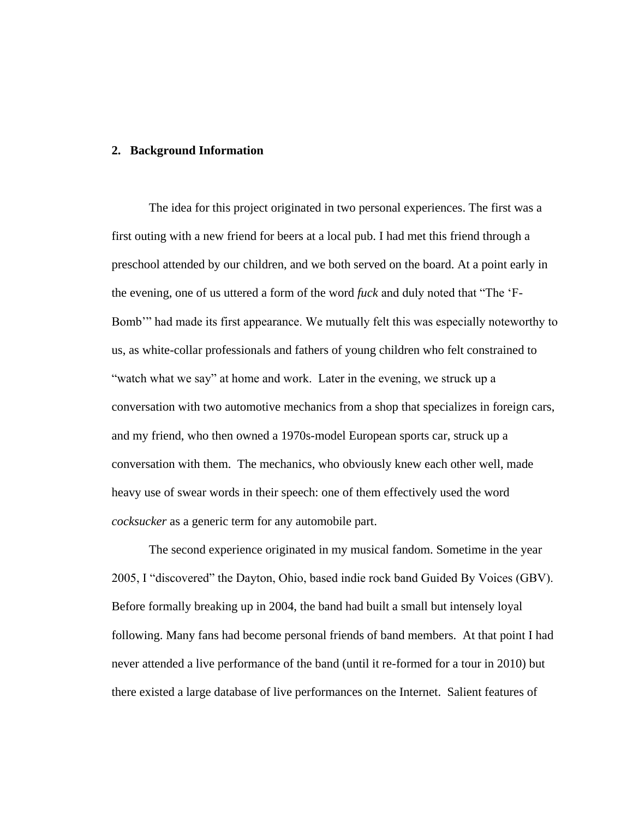## **2. Background Information**

The idea for this project originated in two personal experiences. The first was a first outing with a new friend for beers at a local pub. I had met this friend through a preschool attended by our children, and we both served on the board. At a point early in the evening, one of us uttered a form of the word *fuck* and duly noted that "The 'F-Bomb'" had made its first appearance. We mutually felt this was especially noteworthy to us, as white-collar professionals and fathers of young children who felt constrained to "watch what we say" at home and work. Later in the evening, we struck up a conversation with two automotive mechanics from a shop that specializes in foreign cars, and my friend, who then owned a 1970s-model European sports car, struck up a conversation with them. The mechanics, who obviously knew each other well, made heavy use of swear words in their speech: one of them effectively used the word *cocksucker* as a generic term for any automobile part.

The second experience originated in my musical fandom. Sometime in the year 2005, I "discovered" the Dayton, Ohio, based indie rock band Guided By Voices (GBV). Before formally breaking up in 2004, the band had built a small but intensely loyal following. Many fans had become personal friends of band members. At that point I had never attended a live performance of the band (until it re-formed for a tour in 2010) but there existed a large database of live performances on the Internet. Salient features of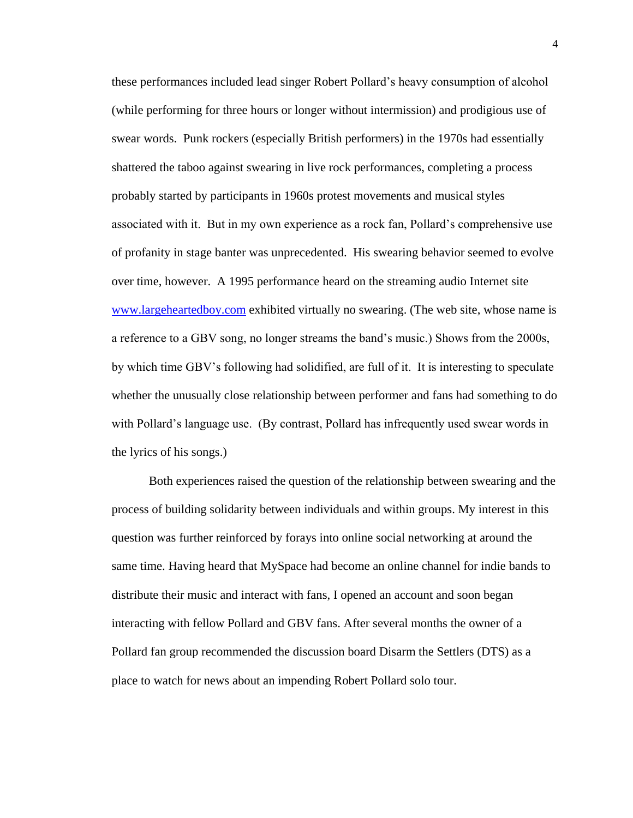these performances included lead singer Robert Pollard's heavy consumption of alcohol (while performing for three hours or longer without intermission) and prodigious use of swear words. Punk rockers (especially British performers) in the 1970s had essentially shattered the taboo against swearing in live rock performances, completing a process probably started by participants in 1960s protest movements and musical styles associated with it. But in my own experience as a rock fan, Pollard's comprehensive use of profanity in stage banter was unprecedented. His swearing behavior seemed to evolve over time, however. A 1995 performance heard on the streaming audio Internet site [www.largeheartedboy.com](http://www.largeheartedboy.com/) exhibited virtually no swearing. (The web site, whose name is a reference to a GBV song, no longer streams the band's music.) Shows from the 2000s, by which time GBV's following had solidified, are full of it. It is interesting to speculate whether the unusually close relationship between performer and fans had something to do with Pollard's language use. (By contrast, Pollard has infrequently used swear words in the lyrics of his songs.)

Both experiences raised the question of the relationship between swearing and the process of building solidarity between individuals and within groups. My interest in this question was further reinforced by forays into online social networking at around the same time. Having heard that MySpace had become an online channel for indie bands to distribute their music and interact with fans, I opened an account and soon began interacting with fellow Pollard and GBV fans. After several months the owner of a Pollard fan group recommended the discussion board Disarm the Settlers (DTS) as a place to watch for news about an impending Robert Pollard solo tour.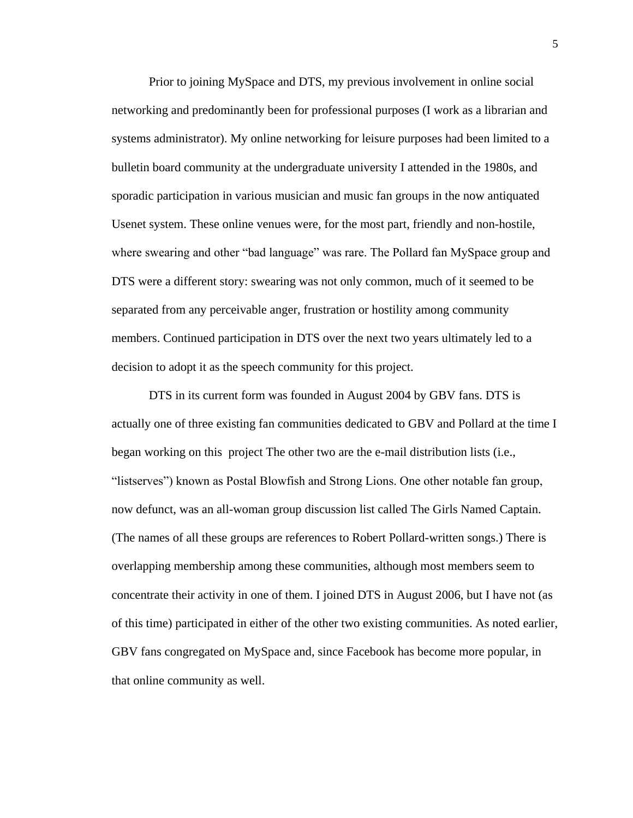Prior to joining MySpace and DTS, my previous involvement in online social networking and predominantly been for professional purposes (I work as a librarian and systems administrator). My online networking for leisure purposes had been limited to a bulletin board community at the undergraduate university I attended in the 1980s, and sporadic participation in various musician and music fan groups in the now antiquated Usenet system. These online venues were, for the most part, friendly and non-hostile, where swearing and other "bad language" was rare. The Pollard fan MySpace group and DTS were a different story: swearing was not only common, much of it seemed to be separated from any perceivable anger, frustration or hostility among community members. Continued participation in DTS over the next two years ultimately led to a decision to adopt it as the speech community for this project.

DTS in its current form was founded in August 2004 by GBV fans. DTS is actually one of three existing fan communities dedicated to GBV and Pollard at the time I began working on this project The other two are the e-mail distribution lists (i.e., "listserves") known as Postal Blowfish and Strong Lions. One other notable fan group, now defunct, was an all-woman group discussion list called The Girls Named Captain. (The names of all these groups are references to Robert Pollard-written songs.) There is overlapping membership among these communities, although most members seem to concentrate their activity in one of them. I joined DTS in August 2006, but I have not (as of this time) participated in either of the other two existing communities. As noted earlier, GBV fans congregated on MySpace and, since Facebook has become more popular, in that online community as well.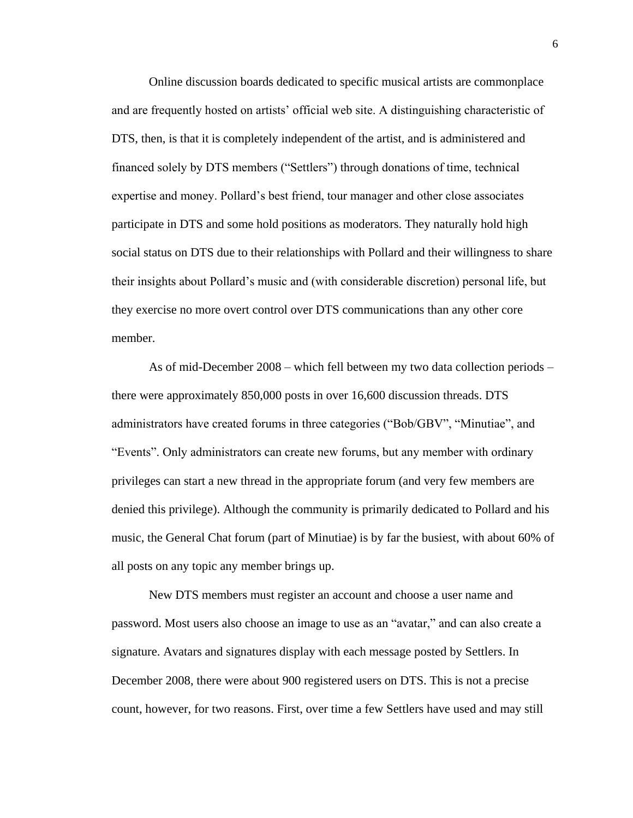Online discussion boards dedicated to specific musical artists are commonplace and are frequently hosted on artists' official web site. A distinguishing characteristic of DTS, then, is that it is completely independent of the artist, and is administered and financed solely by DTS members ("Settlers") through donations of time, technical expertise and money. Pollard's best friend, tour manager and other close associates participate in DTS and some hold positions as moderators. They naturally hold high social status on DTS due to their relationships with Pollard and their willingness to share their insights about Pollard's music and (with considerable discretion) personal life, but they exercise no more overt control over DTS communications than any other core member.

As of mid-December 2008 – which fell between my two data collection periods – there were approximately 850,000 posts in over 16,600 discussion threads. DTS administrators have created forums in three categories ("Bob/GBV", "Minutiae", and "Events". Only administrators can create new forums, but any member with ordinary privileges can start a new thread in the appropriate forum (and very few members are denied this privilege). Although the community is primarily dedicated to Pollard and his music, the General Chat forum (part of Minutiae) is by far the busiest, with about 60% of all posts on any topic any member brings up.

New DTS members must register an account and choose a user name and password. Most users also choose an image to use as an "avatar," and can also create a signature. Avatars and signatures display with each message posted by Settlers. In December 2008, there were about 900 registered users on DTS. This is not a precise count, however, for two reasons. First, over time a few Settlers have used and may still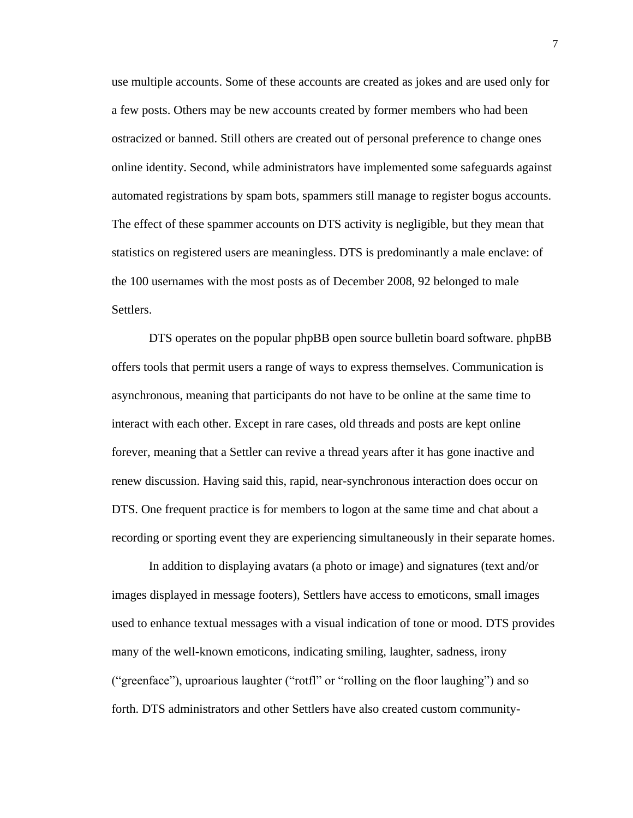use multiple accounts. Some of these accounts are created as jokes and are used only for a few posts. Others may be new accounts created by former members who had been ostracized or banned. Still others are created out of personal preference to change ones online identity. Second, while administrators have implemented some safeguards against automated registrations by spam bots, spammers still manage to register bogus accounts. The effect of these spammer accounts on DTS activity is negligible, but they mean that statistics on registered users are meaningless. DTS is predominantly a male enclave: of the 100 usernames with the most posts as of December 2008, 92 belonged to male Settlers.

DTS operates on the popular phpBB open source bulletin board software. phpBB offers tools that permit users a range of ways to express themselves. Communication is asynchronous, meaning that participants do not have to be online at the same time to interact with each other. Except in rare cases, old threads and posts are kept online forever, meaning that a Settler can revive a thread years after it has gone inactive and renew discussion. Having said this, rapid, near-synchronous interaction does occur on DTS. One frequent practice is for members to logon at the same time and chat about a recording or sporting event they are experiencing simultaneously in their separate homes.

In addition to displaying avatars (a photo or image) and signatures (text and/or images displayed in message footers), Settlers have access to emoticons, small images used to enhance textual messages with a visual indication of tone or mood. DTS provides many of the well-known emoticons, indicating smiling, laughter, sadness, irony ("greenface"), uproarious laughter ("rotfl" or "rolling on the floor laughing") and so forth. DTS administrators and other Settlers have also created custom community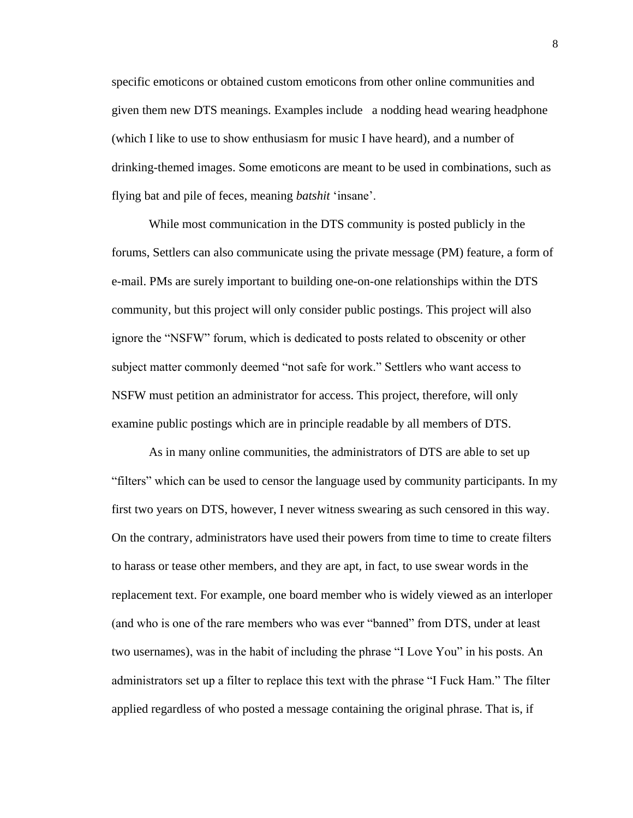specific emoticons or obtained custom emoticons from other online communities and given them new DTS meanings. Examples include a nodding head wearing headphone (which I like to use to show enthusiasm for music I have heard), and a number of drinking-themed images. Some emoticons are meant to be used in combinations, such as flying bat and pile of feces, meaning *batshit* 'insane'.

While most communication in the DTS community is posted publicly in the forums, Settlers can also communicate using the private message (PM) feature, a form of e-mail. PMs are surely important to building one-on-one relationships within the DTS community, but this project will only consider public postings. This project will also ignore the "NSFW" forum, which is dedicated to posts related to obscenity or other subject matter commonly deemed "not safe for work." Settlers who want access to NSFW must petition an administrator for access. This project, therefore, will only examine public postings which are in principle readable by all members of DTS.

As in many online communities, the administrators of DTS are able to set up "filters" which can be used to censor the language used by community participants. In my first two years on DTS, however, I never witness swearing as such censored in this way. On the contrary, administrators have used their powers from time to time to create filters to harass or tease other members, and they are apt, in fact, to use swear words in the replacement text. For example, one board member who is widely viewed as an interloper (and who is one of the rare members who was ever "banned" from DTS, under at least two usernames), was in the habit of including the phrase "I Love You" in his posts. An administrators set up a filter to replace this text with the phrase "I Fuck Ham." The filter applied regardless of who posted a message containing the original phrase. That is, if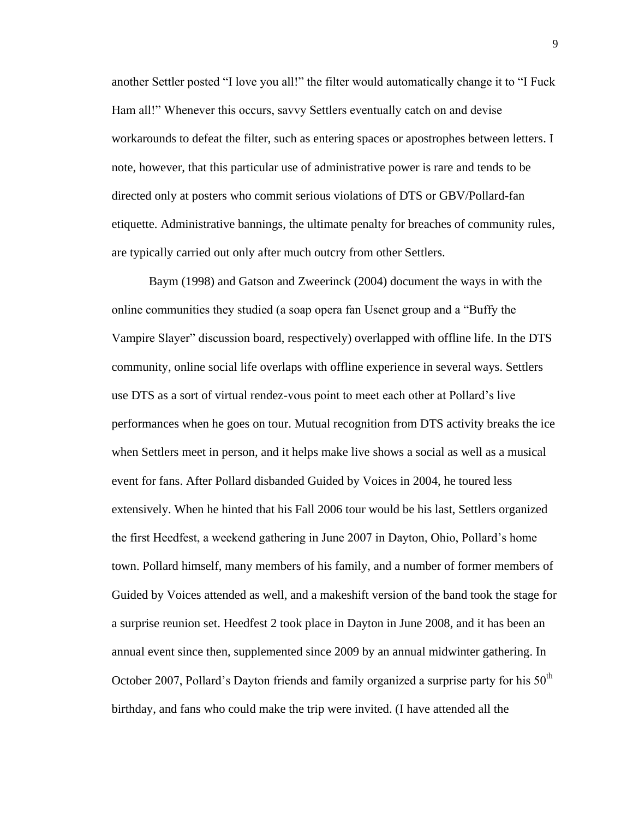another Settler posted "I love you all!" the filter would automatically change it to "I Fuck Ham all!" Whenever this occurs, savvy Settlers eventually catch on and devise workarounds to defeat the filter, such as entering spaces or apostrophes between letters. I note, however, that this particular use of administrative power is rare and tends to be directed only at posters who commit serious violations of DTS or GBV/Pollard-fan etiquette. Administrative bannings, the ultimate penalty for breaches of community rules, are typically carried out only after much outcry from other Settlers.

Baym (1998) and Gatson and Zweerinck (2004) document the ways in with the online communities they studied (a soap opera fan Usenet group and a "Buffy the Vampire Slayer" discussion board, respectively) overlapped with offline life. In the DTS community, online social life overlaps with offline experience in several ways. Settlers use DTS as a sort of virtual rendez-vous point to meet each other at Pollard's live performances when he goes on tour. Mutual recognition from DTS activity breaks the ice when Settlers meet in person, and it helps make live shows a social as well as a musical event for fans. After Pollard disbanded Guided by Voices in 2004, he toured less extensively. When he hinted that his Fall 2006 tour would be his last, Settlers organized the first Heedfest, a weekend gathering in June 2007 in Dayton, Ohio, Pollard's home town. Pollard himself, many members of his family, and a number of former members of Guided by Voices attended as well, and a makeshift version of the band took the stage for a surprise reunion set. Heedfest 2 took place in Dayton in June 2008, and it has been an annual event since then, supplemented since 2009 by an annual midwinter gathering. In October 2007, Pollard's Dayton friends and family organized a surprise party for his  $50<sup>th</sup>$ birthday, and fans who could make the trip were invited. (I have attended all the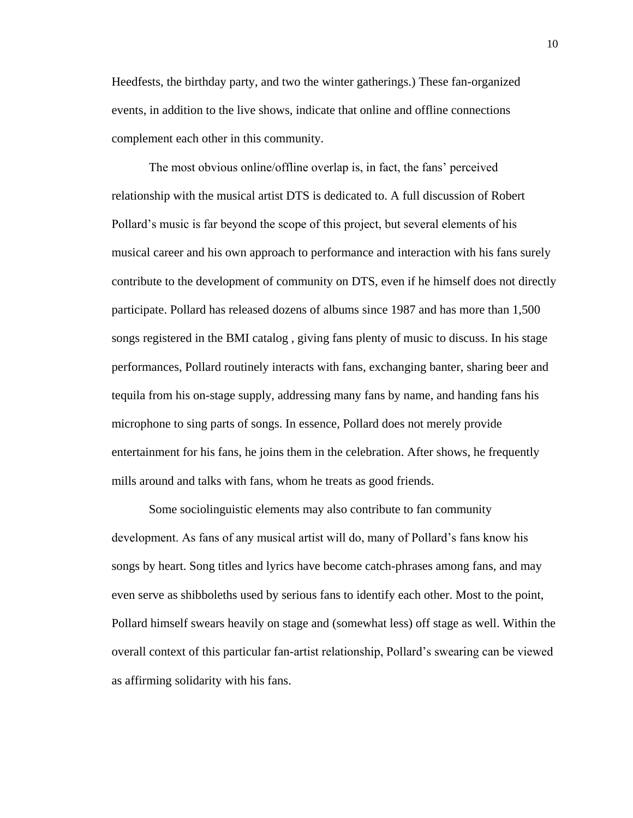Heedfests, the birthday party, and two the winter gatherings.) These fan-organized events, in addition to the live shows, indicate that online and offline connections complement each other in this community.

The most obvious online/offline overlap is, in fact, the fans' perceived relationship with the musical artist DTS is dedicated to. A full discussion of Robert Pollard's music is far beyond the scope of this project, but several elements of his musical career and his own approach to performance and interaction with his fans surely contribute to the development of community on DTS, even if he himself does not directly participate. Pollard has released dozens of albums since 1987 and has more than 1,500 songs registered in the BMI catalog , giving fans plenty of music to discuss. In his stage performances, Pollard routinely interacts with fans, exchanging banter, sharing beer and tequila from his on-stage supply, addressing many fans by name, and handing fans his microphone to sing parts of songs. In essence, Pollard does not merely provide entertainment for his fans, he joins them in the celebration. After shows, he frequently mills around and talks with fans, whom he treats as good friends.

Some sociolinguistic elements may also contribute to fan community development. As fans of any musical artist will do, many of Pollard's fans know his songs by heart. Song titles and lyrics have become catch-phrases among fans, and may even serve as shibboleths used by serious fans to identify each other. Most to the point, Pollard himself swears heavily on stage and (somewhat less) off stage as well. Within the overall context of this particular fan-artist relationship, Pollard's swearing can be viewed as affirming solidarity with his fans.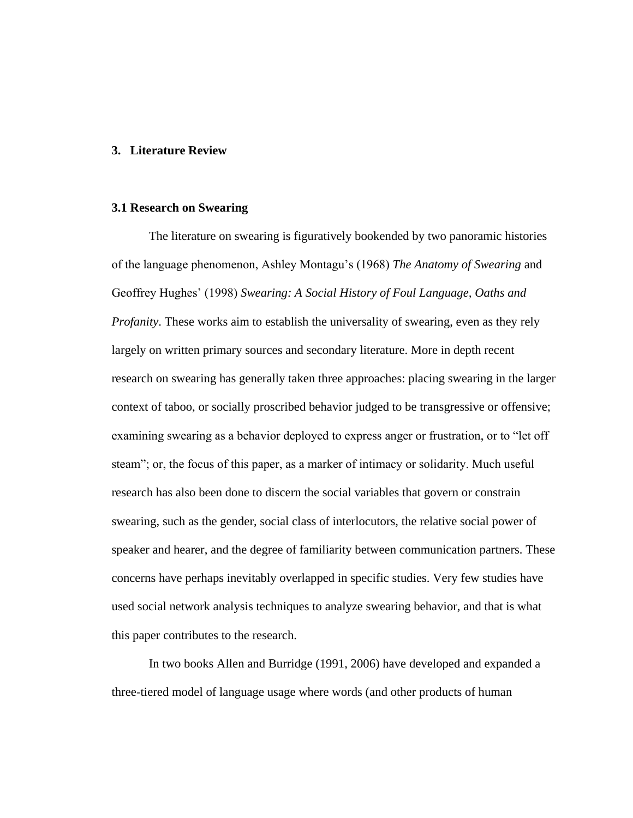### **3. Literature Review**

#### **3.1 Research on Swearing**

The literature on swearing is figuratively bookended by two panoramic histories of the language phenomenon, Ashley Montagu's (1968) *The Anatomy of Swearing* and Geoffrey Hughes' (1998) *Swearing: A Social History of Foul Language, Oaths and Profanity*. These works aim to establish the universality of swearing, even as they rely largely on written primary sources and secondary literature. More in depth recent research on swearing has generally taken three approaches: placing swearing in the larger context of taboo, or socially proscribed behavior judged to be transgressive or offensive; examining swearing as a behavior deployed to express anger or frustration, or to "let off steam"; or, the focus of this paper, as a marker of intimacy or solidarity. Much useful research has also been done to discern the social variables that govern or constrain swearing, such as the gender, social class of interlocutors, the relative social power of speaker and hearer, and the degree of familiarity between communication partners. These concerns have perhaps inevitably overlapped in specific studies. Very few studies have used social network analysis techniques to analyze swearing behavior, and that is what this paper contributes to the research.

In two books Allen and Burridge (1991, 2006) have developed and expanded a three-tiered model of language usage where words (and other products of human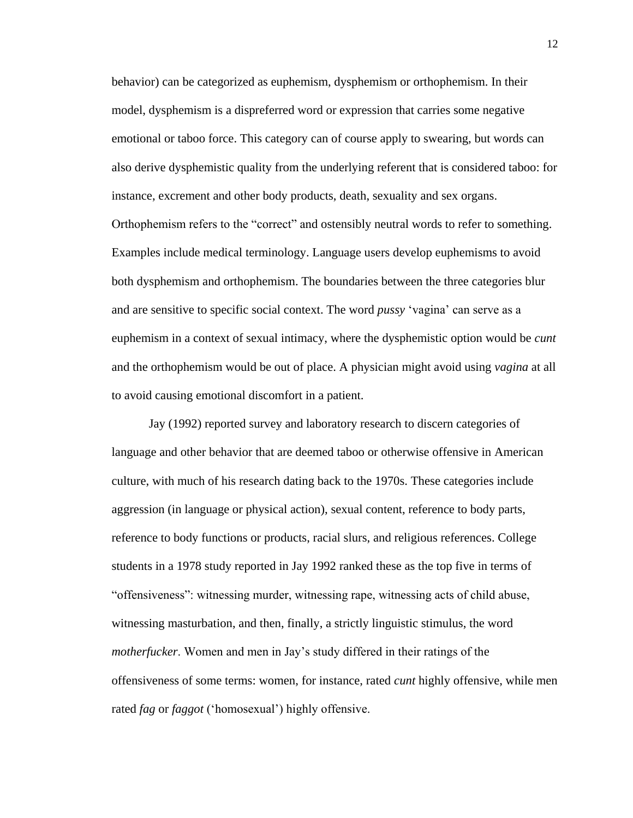behavior) can be categorized as euphemism, dysphemism or orthophemism. In their model, dysphemism is a dispreferred word or expression that carries some negative emotional or taboo force. This category can of course apply to swearing, but words can also derive dysphemistic quality from the underlying referent that is considered taboo: for instance, excrement and other body products, death, sexuality and sex organs. Orthophemism refers to the "correct" and ostensibly neutral words to refer to something. Examples include medical terminology. Language users develop euphemisms to avoid both dysphemism and orthophemism. The boundaries between the three categories blur and are sensitive to specific social context. The word *pussy* 'vagina' can serve as a euphemism in a context of sexual intimacy, where the dysphemistic option would be *cunt* and the orthophemism would be out of place. A physician might avoid using *vagina* at all to avoid causing emotional discomfort in a patient.

Jay (1992) reported survey and laboratory research to discern categories of language and other behavior that are deemed taboo or otherwise offensive in American culture, with much of his research dating back to the 1970s. These categories include aggression (in language or physical action), sexual content, reference to body parts, reference to body functions or products, racial slurs, and religious references. College students in a 1978 study reported in Jay 1992 ranked these as the top five in terms of "offensiveness": witnessing murder, witnessing rape, witnessing acts of child abuse, witnessing masturbation, and then, finally, a strictly linguistic stimulus, the word *motherfucker*. Women and men in Jay's study differed in their ratings of the offensiveness of some terms: women, for instance, rated *cunt* highly offensive, while men rated *fag* or *faggot* ('homosexual') highly offensive.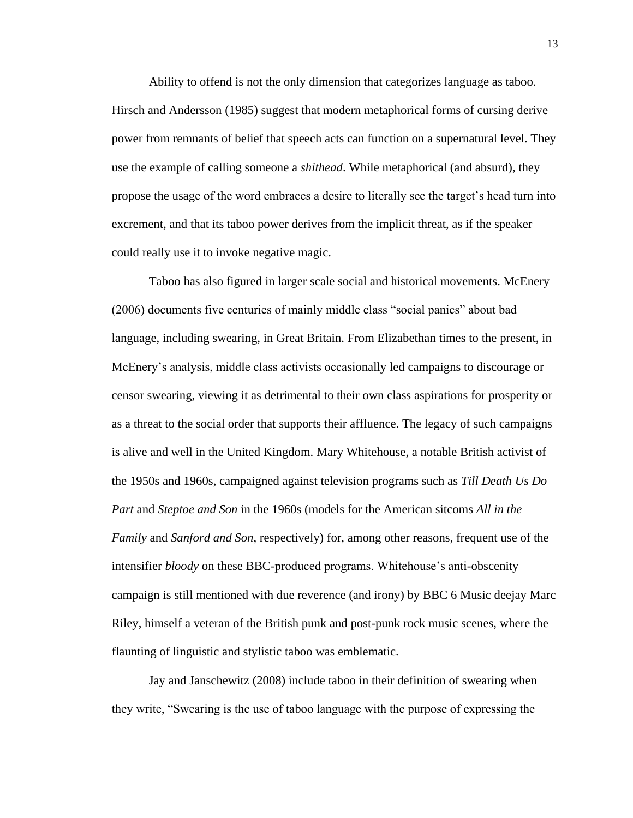Ability to offend is not the only dimension that categorizes language as taboo. Hirsch and Andersson (1985) suggest that modern metaphorical forms of cursing derive power from remnants of belief that speech acts can function on a supernatural level. They use the example of calling someone a *shithead*. While metaphorical (and absurd), they propose the usage of the word embraces a desire to literally see the target's head turn into excrement, and that its taboo power derives from the implicit threat, as if the speaker could really use it to invoke negative magic.

Taboo has also figured in larger scale social and historical movements. McEnery (2006) documents five centuries of mainly middle class "social panics" about bad language, including swearing, in Great Britain. From Elizabethan times to the present, in McEnery's analysis, middle class activists occasionally led campaigns to discourage or censor swearing, viewing it as detrimental to their own class aspirations for prosperity or as a threat to the social order that supports their affluence. The legacy of such campaigns is alive and well in the United Kingdom. Mary Whitehouse, a notable British activist of the 1950s and 1960s, campaigned against television programs such as *Till Death Us Do Part* and *Steptoe and Son* in the 1960s (models for the American sitcoms *All in the Family* and *Sanford and Son*, respectively) for, among other reasons, frequent use of the intensifier *bloody* on these BBC-produced programs. Whitehouse's anti-obscenity campaign is still mentioned with due reverence (and irony) by BBC 6 Music deejay Marc Riley, himself a veteran of the British punk and post-punk rock music scenes, where the flaunting of linguistic and stylistic taboo was emblematic.

Jay and Janschewitz (2008) include taboo in their definition of swearing when they write, "Swearing is the use of taboo language with the purpose of expressing the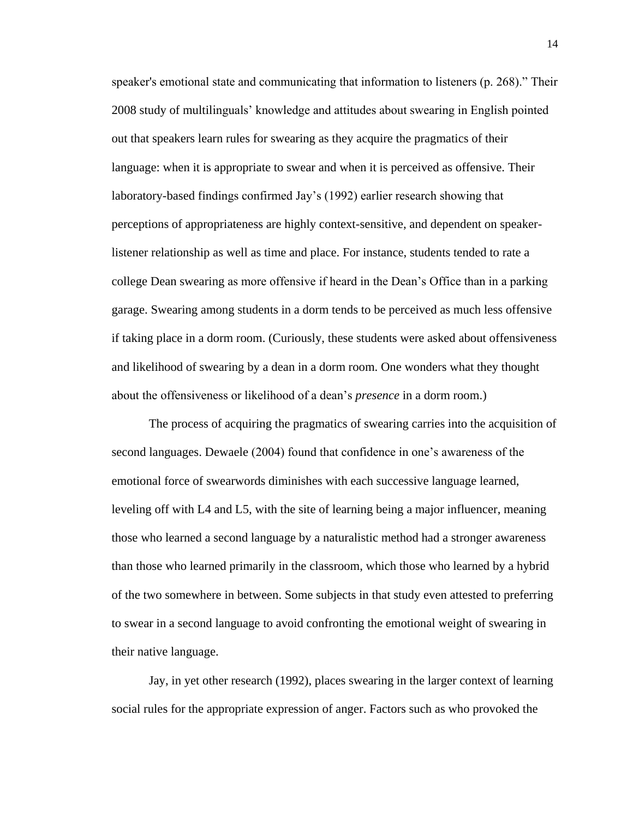speaker's emotional state and communicating that information to listeners (p. 268)." Their 2008 study of multilinguals' knowledge and attitudes about swearing in English pointed out that speakers learn rules for swearing as they acquire the pragmatics of their language: when it is appropriate to swear and when it is perceived as offensive. Their laboratory-based findings confirmed Jay's (1992) earlier research showing that perceptions of appropriateness are highly context-sensitive, and dependent on speakerlistener relationship as well as time and place. For instance, students tended to rate a college Dean swearing as more offensive if heard in the Dean's Office than in a parking garage. Swearing among students in a dorm tends to be perceived as much less offensive if taking place in a dorm room. (Curiously, these students were asked about offensiveness and likelihood of swearing by a dean in a dorm room. One wonders what they thought about the offensiveness or likelihood of a dean's *presence* in a dorm room.)

The process of acquiring the pragmatics of swearing carries into the acquisition of second languages. Dewaele (2004) found that confidence in one's awareness of the emotional force of swearwords diminishes with each successive language learned, leveling off with L4 and L5, with the site of learning being a major influencer, meaning those who learned a second language by a naturalistic method had a stronger awareness than those who learned primarily in the classroom, which those who learned by a hybrid of the two somewhere in between. Some subjects in that study even attested to preferring to swear in a second language to avoid confronting the emotional weight of swearing in their native language.

Jay, in yet other research (1992), places swearing in the larger context of learning social rules for the appropriate expression of anger. Factors such as who provoked the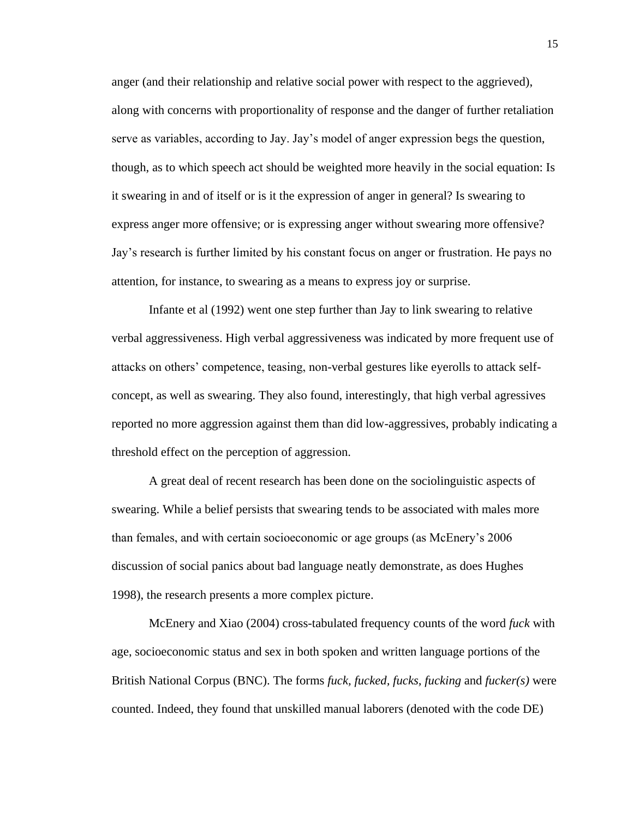anger (and their relationship and relative social power with respect to the aggrieved), along with concerns with proportionality of response and the danger of further retaliation serve as variables, according to Jay. Jay's model of anger expression begs the question, though, as to which speech act should be weighted more heavily in the social equation: Is it swearing in and of itself or is it the expression of anger in general? Is swearing to express anger more offensive; or is expressing anger without swearing more offensive? Jay's research is further limited by his constant focus on anger or frustration. He pays no attention, for instance, to swearing as a means to express joy or surprise.

Infante et al (1992) went one step further than Jay to link swearing to relative verbal aggressiveness. High verbal aggressiveness was indicated by more frequent use of attacks on others' competence, teasing, non-verbal gestures like eyerolls to attack selfconcept, as well as swearing. They also found, interestingly, that high verbal agressives reported no more aggression against them than did low-aggressives, probably indicating a threshold effect on the perception of aggression.

A great deal of recent research has been done on the sociolinguistic aspects of swearing. While a belief persists that swearing tends to be associated with males more than females, and with certain socioeconomic or age groups (as McEnery's 2006 discussion of social panics about bad language neatly demonstrate, as does Hughes 1998), the research presents a more complex picture.

McEnery and Xiao (2004) cross-tabulated frequency counts of the word *fuck* with age, socioeconomic status and sex in both spoken and written language portions of the British National Corpus (BNC). The forms *fuck, fucked, fucks, fucking* and *fucker(s)* were counted. Indeed, they found that unskilled manual laborers (denoted with the code DE)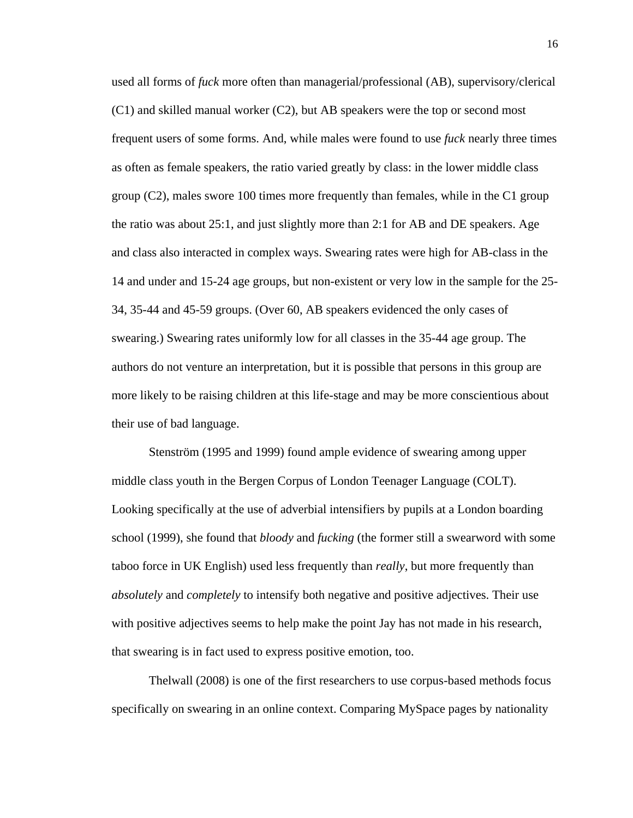used all forms of *fuck* more often than managerial/professional (AB), supervisory/clerical (C1) and skilled manual worker (C2), but AB speakers were the top or second most frequent users of some forms. And, while males were found to use *fuck* nearly three times as often as female speakers, the ratio varied greatly by class: in the lower middle class group (C2), males swore 100 times more frequently than females, while in the C1 group the ratio was about 25:1, and just slightly more than 2:1 for AB and DE speakers. Age and class also interacted in complex ways. Swearing rates were high for AB-class in the 14 and under and 15-24 age groups, but non-existent or very low in the sample for the 25- 34, 35-44 and 45-59 groups. (Over 60, AB speakers evidenced the only cases of swearing.) Swearing rates uniformly low for all classes in the 35-44 age group. The authors do not venture an interpretation, but it is possible that persons in this group are more likely to be raising children at this life-stage and may be more conscientious about their use of bad language.

Stenström (1995 and 1999) found ample evidence of swearing among upper middle class youth in the Bergen Corpus of London Teenager Language (COLT). Looking specifically at the use of adverbial intensifiers by pupils at a London boarding school (1999), she found that *bloody* and *fucking* (the former still a swearword with some taboo force in UK English) used less frequently than *really*, but more frequently than *absolutely* and *completely* to intensify both negative and positive adjectives. Their use with positive adjectives seems to help make the point Jay has not made in his research, that swearing is in fact used to express positive emotion, too.

Thelwall (2008) is one of the first researchers to use corpus-based methods focus specifically on swearing in an online context. Comparing MySpace pages by nationality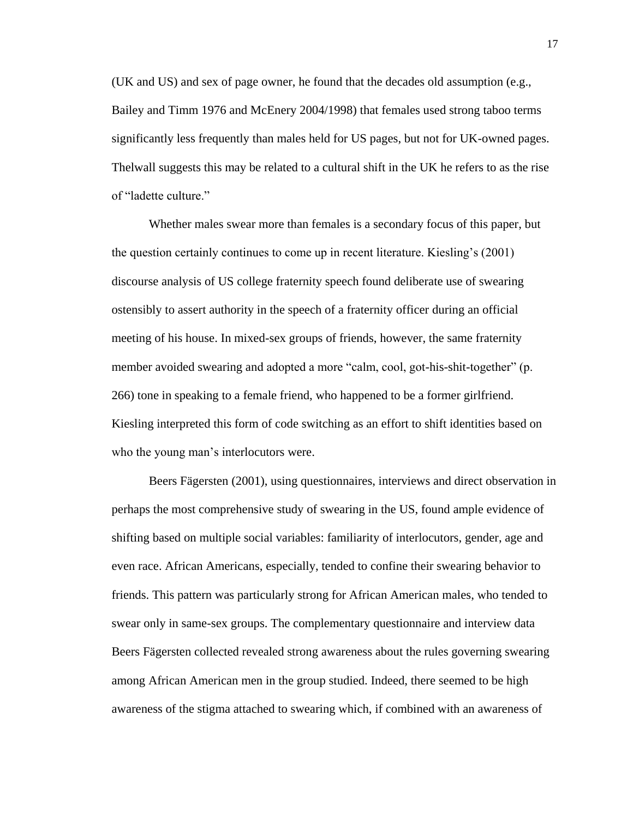(UK and US) and sex of page owner, he found that the decades old assumption (e.g., Bailey and Timm 1976 and McEnery 2004/1998) that females used strong taboo terms significantly less frequently than males held for US pages, but not for UK-owned pages. Thelwall suggests this may be related to a cultural shift in the UK he refers to as the rise of "ladette culture."

Whether males swear more than females is a secondary focus of this paper, but the question certainly continues to come up in recent literature. Kiesling's (2001) discourse analysis of US college fraternity speech found deliberate use of swearing ostensibly to assert authority in the speech of a fraternity officer during an official meeting of his house. In mixed-sex groups of friends, however, the same fraternity member avoided swearing and adopted a more "calm, cool, got-his-shit-together" (p. 266) tone in speaking to a female friend, who happened to be a former girlfriend. Kiesling interpreted this form of code switching as an effort to shift identities based on who the young man's interlocutors were.

Beers Fägersten (2001), using questionnaires, interviews and direct observation in perhaps the most comprehensive study of swearing in the US, found ample evidence of shifting based on multiple social variables: familiarity of interlocutors, gender, age and even race. African Americans, especially, tended to confine their swearing behavior to friends. This pattern was particularly strong for African American males, who tended to swear only in same-sex groups. The complementary questionnaire and interview data Beers Fägersten collected revealed strong awareness about the rules governing swearing among African American men in the group studied. Indeed, there seemed to be high awareness of the stigma attached to swearing which, if combined with an awareness of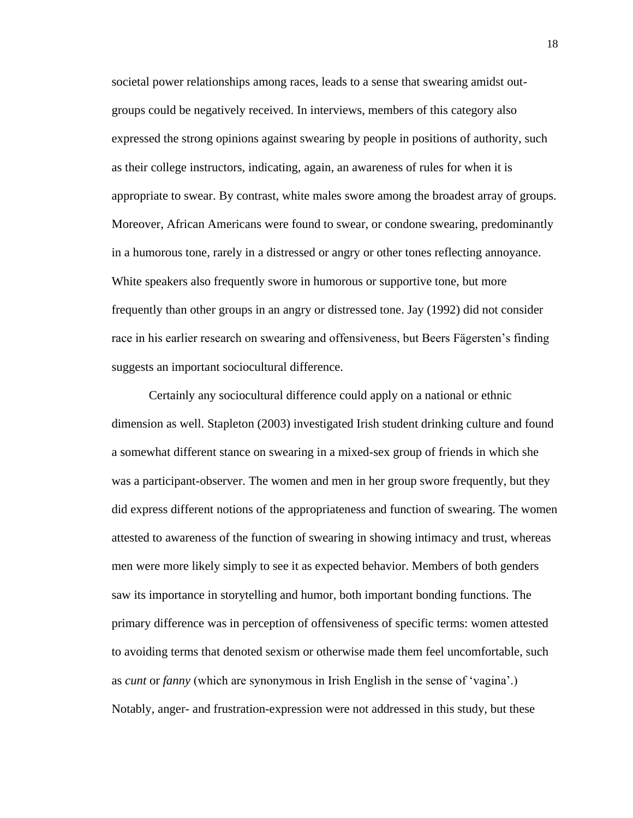societal power relationships among races, leads to a sense that swearing amidst outgroups could be negatively received. In interviews, members of this category also expressed the strong opinions against swearing by people in positions of authority, such as their college instructors, indicating, again, an awareness of rules for when it is appropriate to swear. By contrast, white males swore among the broadest array of groups. Moreover, African Americans were found to swear, or condone swearing, predominantly in a humorous tone, rarely in a distressed or angry or other tones reflecting annoyance. White speakers also frequently swore in humorous or supportive tone, but more frequently than other groups in an angry or distressed tone. Jay (1992) did not consider race in his earlier research on swearing and offensiveness, but Beers Fägersten's finding suggests an important sociocultural difference.

Certainly any sociocultural difference could apply on a national or ethnic dimension as well. Stapleton (2003) investigated Irish student drinking culture and found a somewhat different stance on swearing in a mixed-sex group of friends in which she was a participant-observer. The women and men in her group swore frequently, but they did express different notions of the appropriateness and function of swearing. The women attested to awareness of the function of swearing in showing intimacy and trust, whereas men were more likely simply to see it as expected behavior. Members of both genders saw its importance in storytelling and humor, both important bonding functions. The primary difference was in perception of offensiveness of specific terms: women attested to avoiding terms that denoted sexism or otherwise made them feel uncomfortable, such as *cunt* or *fanny* (which are synonymous in Irish English in the sense of 'vagina'.) Notably, anger- and frustration-expression were not addressed in this study, but these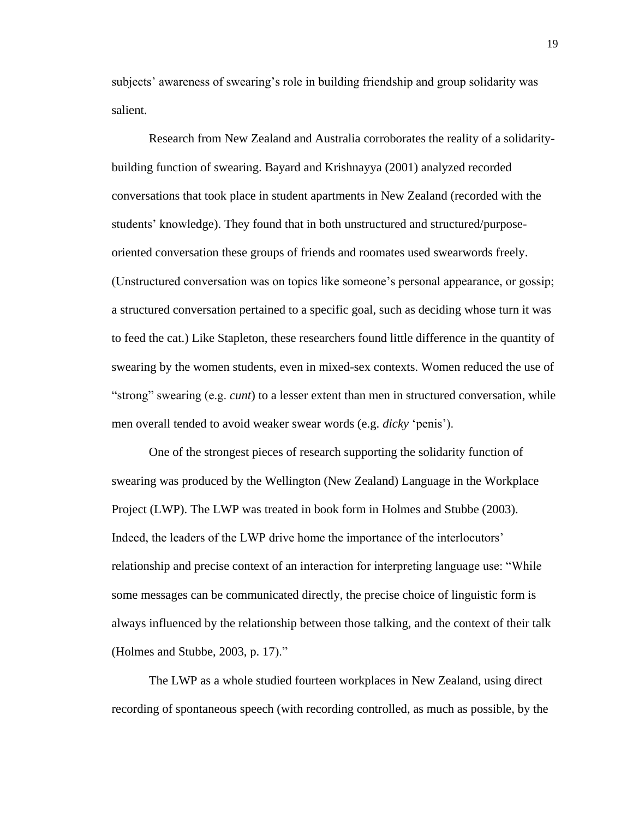subjects' awareness of swearing's role in building friendship and group solidarity was salient.

Research from New Zealand and Australia corroborates the reality of a solidaritybuilding function of swearing. Bayard and Krishnayya (2001) analyzed recorded conversations that took place in student apartments in New Zealand (recorded with the students' knowledge). They found that in both unstructured and structured/purposeoriented conversation these groups of friends and roomates used swearwords freely. (Unstructured conversation was on topics like someone's personal appearance, or gossip; a structured conversation pertained to a specific goal, such as deciding whose turn it was to feed the cat.) Like Stapleton, these researchers found little difference in the quantity of swearing by the women students, even in mixed-sex contexts. Women reduced the use of "strong" swearing (e.g. *cunt*) to a lesser extent than men in structured conversation, while men overall tended to avoid weaker swear words (e.g. *dicky* 'penis').

One of the strongest pieces of research supporting the solidarity function of swearing was produced by the Wellington (New Zealand) Language in the Workplace Project (LWP). The LWP was treated in book form in Holmes and Stubbe (2003). Indeed, the leaders of the LWP drive home the importance of the interlocutors' relationship and precise context of an interaction for interpreting language use: "While some messages can be communicated directly, the precise choice of linguistic form is always influenced by the relationship between those talking, and the context of their talk (Holmes and Stubbe, 2003, p. 17)."

The LWP as a whole studied fourteen workplaces in New Zealand, using direct recording of spontaneous speech (with recording controlled, as much as possible, by the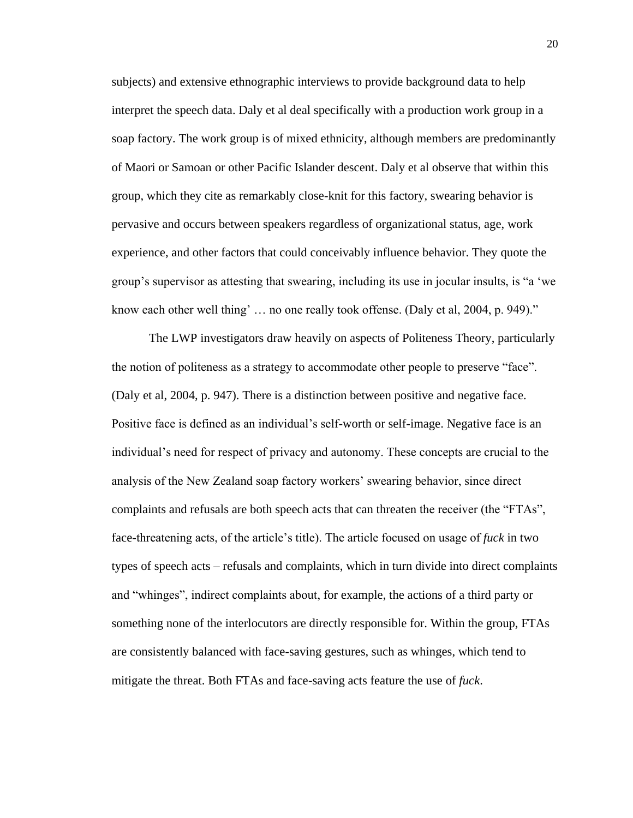subjects) and extensive ethnographic interviews to provide background data to help interpret the speech data. Daly et al deal specifically with a production work group in a soap factory. The work group is of mixed ethnicity, although members are predominantly of Maori or Samoan or other Pacific Islander descent. Daly et al observe that within this group, which they cite as remarkably close-knit for this factory, swearing behavior is pervasive and occurs between speakers regardless of organizational status, age, work experience, and other factors that could conceivably influence behavior. They quote the group's supervisor as attesting that swearing, including its use in jocular insults, is "a 'we know each other well thing' … no one really took offense. (Daly et al, 2004, p. 949)."

The LWP investigators draw heavily on aspects of Politeness Theory, particularly the notion of politeness as a strategy to accommodate other people to preserve "face". (Daly et al, 2004, p. 947). There is a distinction between positive and negative face. Positive face is defined as an individual's self-worth or self-image. Negative face is an individual's need for respect of privacy and autonomy. These concepts are crucial to the analysis of the New Zealand soap factory workers' swearing behavior, since direct complaints and refusals are both speech acts that can threaten the receiver (the "FTAs", face-threatening acts, of the article's title). The article focused on usage of *fuck* in two types of speech acts – refusals and complaints, which in turn divide into direct complaints and "whinges", indirect complaints about, for example, the actions of a third party or something none of the interlocutors are directly responsible for. Within the group, FTAs are consistently balanced with face-saving gestures, such as whinges, which tend to mitigate the threat. Both FTAs and face-saving acts feature the use of *fuck*.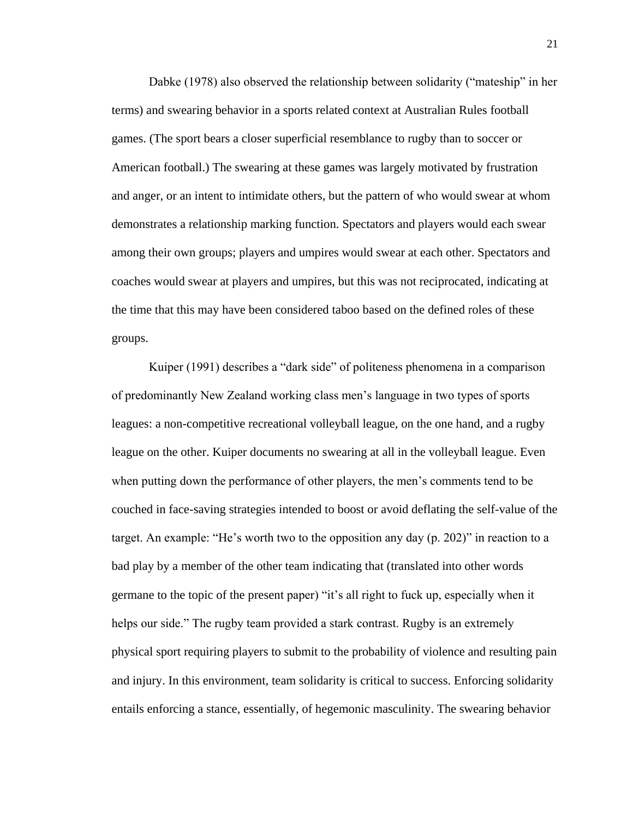Dabke (1978) also observed the relationship between solidarity ("mateship" in her terms) and swearing behavior in a sports related context at Australian Rules football games. (The sport bears a closer superficial resemblance to rugby than to soccer or American football.) The swearing at these games was largely motivated by frustration and anger, or an intent to intimidate others, but the pattern of who would swear at whom demonstrates a relationship marking function. Spectators and players would each swear among their own groups; players and umpires would swear at each other. Spectators and coaches would swear at players and umpires, but this was not reciprocated, indicating at the time that this may have been considered taboo based on the defined roles of these groups.

Kuiper (1991) describes a "dark side" of politeness phenomena in a comparison of predominantly New Zealand working class men's language in two types of sports leagues: a non-competitive recreational volleyball league, on the one hand, and a rugby league on the other. Kuiper documents no swearing at all in the volleyball league. Even when putting down the performance of other players, the men's comments tend to be couched in face-saving strategies intended to boost or avoid deflating the self-value of the target. An example: "He's worth two to the opposition any day (p. 202)" in reaction to a bad play by a member of the other team indicating that (translated into other words germane to the topic of the present paper) "it's all right to fuck up, especially when it helps our side." The rugby team provided a stark contrast. Rugby is an extremely physical sport requiring players to submit to the probability of violence and resulting pain and injury. In this environment, team solidarity is critical to success. Enforcing solidarity entails enforcing a stance, essentially, of hegemonic masculinity. The swearing behavior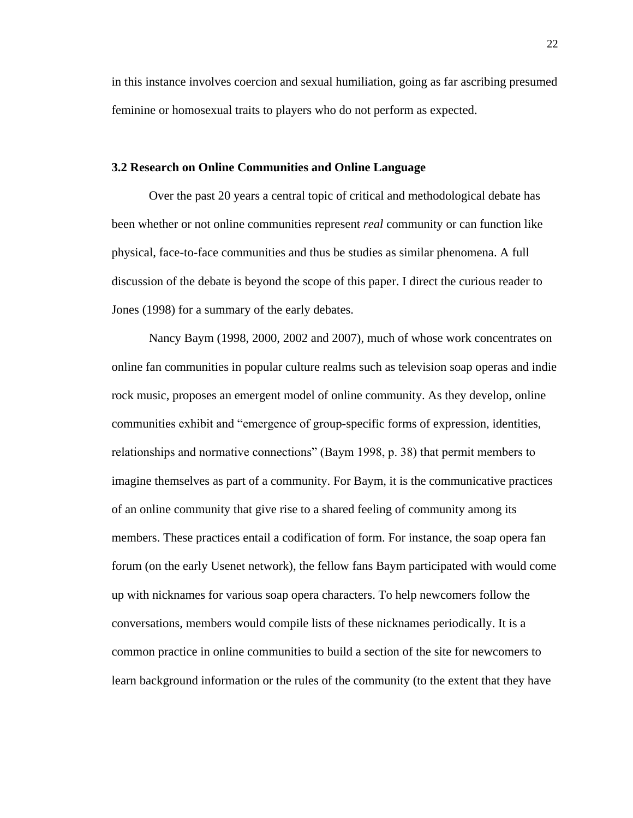in this instance involves coercion and sexual humiliation, going as far ascribing presumed feminine or homosexual traits to players who do not perform as expected.

## **3.2 Research on Online Communities and Online Language**

Over the past 20 years a central topic of critical and methodological debate has been whether or not online communities represent *real* community or can function like physical, face-to-face communities and thus be studies as similar phenomena. A full discussion of the debate is beyond the scope of this paper. I direct the curious reader to Jones (1998) for a summary of the early debates.

Nancy Baym (1998, 2000, 2002 and 2007), much of whose work concentrates on online fan communities in popular culture realms such as television soap operas and indie rock music, proposes an emergent model of online community. As they develop, online communities exhibit and "emergence of group-specific forms of expression, identities, relationships and normative connections" (Baym 1998, p. 38) that permit members to imagine themselves as part of a community. For Baym, it is the communicative practices of an online community that give rise to a shared feeling of community among its members. These practices entail a codification of form. For instance, the soap opera fan forum (on the early Usenet network), the fellow fans Baym participated with would come up with nicknames for various soap opera characters. To help newcomers follow the conversations, members would compile lists of these nicknames periodically. It is a common practice in online communities to build a section of the site for newcomers to learn background information or the rules of the community (to the extent that they have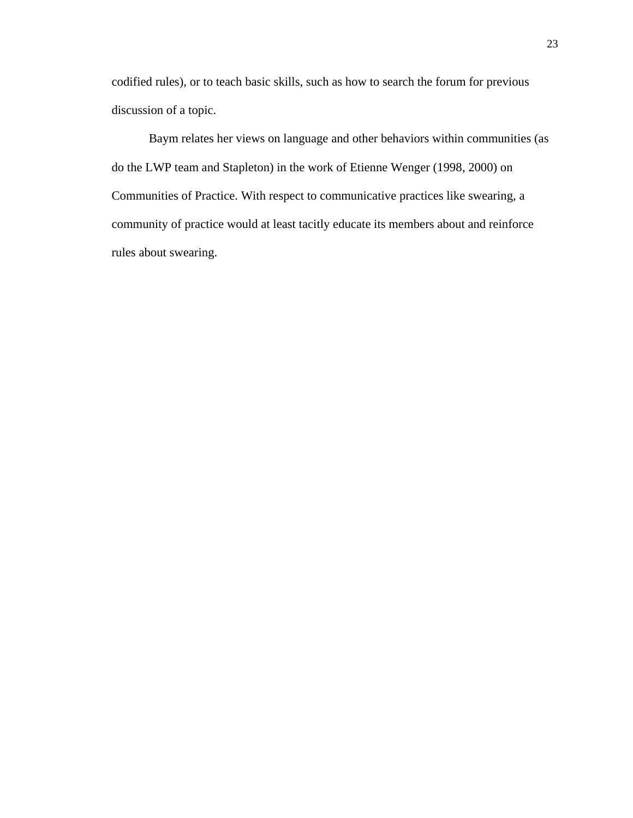codified rules), or to teach basic skills, such as how to search the forum for previous discussion of a topic.

Baym relates her views on language and other behaviors within communities (as do the LWP team and Stapleton) in the work of Etienne Wenger (1998, 2000) on Communities of Practice. With respect to communicative practices like swearing, a community of practice would at least tacitly educate its members about and reinforce rules about swearing.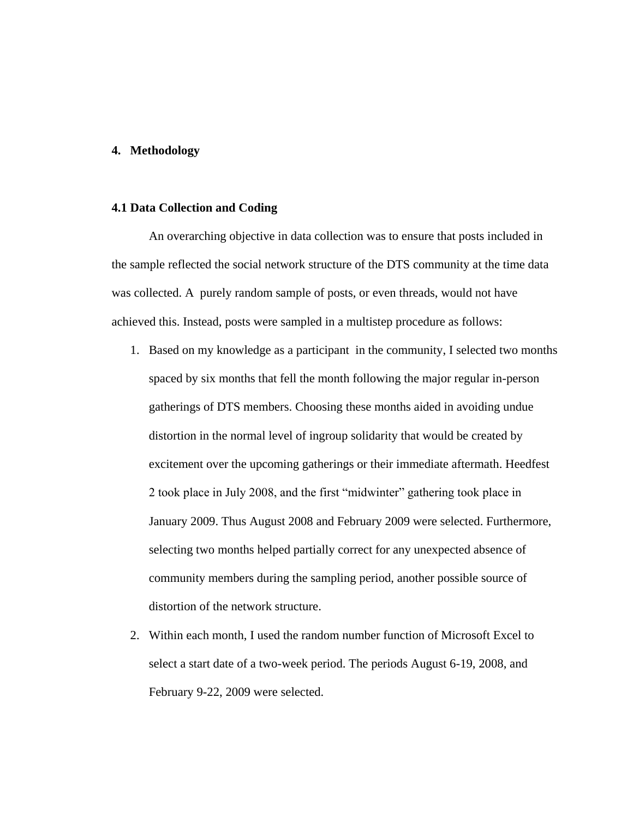## **4. Methodology**

#### **4.1 Data Collection and Coding**

An overarching objective in data collection was to ensure that posts included in the sample reflected the social network structure of the DTS community at the time data was collected. A purely random sample of posts, or even threads, would not have achieved this. Instead, posts were sampled in a multistep procedure as follows:

- 1. Based on my knowledge as a participant in the community, I selected two months spaced by six months that fell the month following the major regular in-person gatherings of DTS members. Choosing these months aided in avoiding undue distortion in the normal level of ingroup solidarity that would be created by excitement over the upcoming gatherings or their immediate aftermath. Heedfest 2 took place in July 2008, and the first "midwinter" gathering took place in January 2009. Thus August 2008 and February 2009 were selected. Furthermore, selecting two months helped partially correct for any unexpected absence of community members during the sampling period, another possible source of distortion of the network structure.
- 2. Within each month, I used the random number function of Microsoft Excel to select a start date of a two-week period. The periods August 6-19, 2008, and February 9-22, 2009 were selected.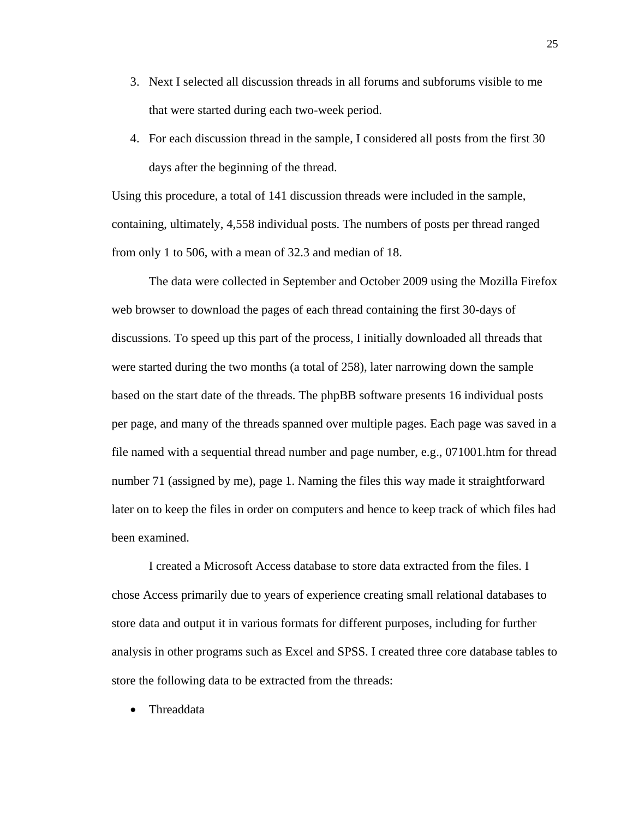- 3. Next I selected all discussion threads in all forums and subforums visible to me that were started during each two-week period.
- 4. For each discussion thread in the sample, I considered all posts from the first 30 days after the beginning of the thread.

Using this procedure, a total of 141 discussion threads were included in the sample, containing, ultimately, 4,558 individual posts. The numbers of posts per thread ranged from only 1 to 506, with a mean of 32.3 and median of 18.

The data were collected in September and October 2009 using the Mozilla Firefox web browser to download the pages of each thread containing the first 30-days of discussions. To speed up this part of the process, I initially downloaded all threads that were started during the two months (a total of 258), later narrowing down the sample based on the start date of the threads. The phpBB software presents 16 individual posts per page, and many of the threads spanned over multiple pages. Each page was saved in a file named with a sequential thread number and page number, e.g., 071001.htm for thread number 71 (assigned by me), page 1. Naming the files this way made it straightforward later on to keep the files in order on computers and hence to keep track of which files had been examined.

I created a Microsoft Access database to store data extracted from the files. I chose Access primarily due to years of experience creating small relational databases to store data and output it in various formats for different purposes, including for further analysis in other programs such as Excel and SPSS. I created three core database tables to store the following data to be extracted from the threads:

• Threaddata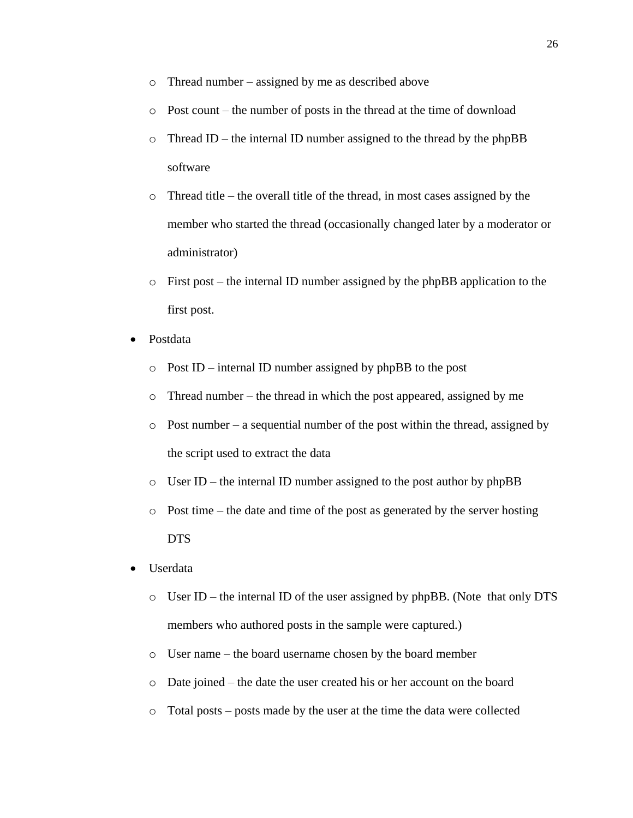- o Thread number assigned by me as described above
- o Post count the number of posts in the thread at the time of download
- o Thread ID the internal ID number assigned to the thread by the phpBB software
- o Thread title the overall title of the thread, in most cases assigned by the member who started the thread (occasionally changed later by a moderator or administrator)
- o First post the internal ID number assigned by the phpBB application to the first post.
- Postdata
	- o Post ID internal ID number assigned by phpBB to the post
	- o Thread number the thread in which the post appeared, assigned by me
	- $\circ$  Post number a sequential number of the post within the thread, assigned by the script used to extract the data
	- o User ID the internal ID number assigned to the post author by phpBB
	- o Post time the date and time of the post as generated by the server hosting DTS
- Userdata
	- o User ID the internal ID of the user assigned by phpBB. (Note that only DTS members who authored posts in the sample were captured.)
	- o User name the board username chosen by the board member
	- o Date joined the date the user created his or her account on the board
	- o Total posts posts made by the user at the time the data were collected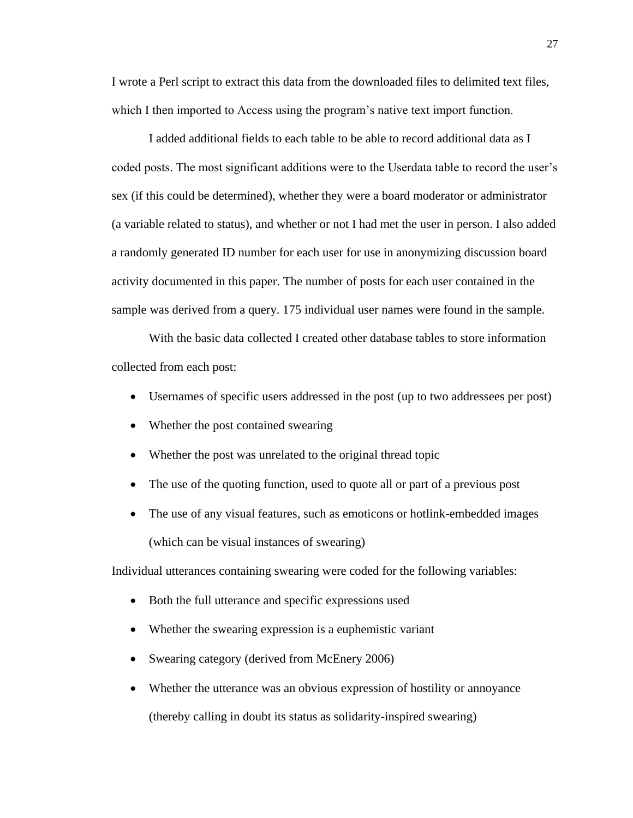I wrote a Perl script to extract this data from the downloaded files to delimited text files, which I then imported to Access using the program's native text import function.

I added additional fields to each table to be able to record additional data as I coded posts. The most significant additions were to the Userdata table to record the user's sex (if this could be determined), whether they were a board moderator or administrator (a variable related to status), and whether or not I had met the user in person. I also added a randomly generated ID number for each user for use in anonymizing discussion board activity documented in this paper. The number of posts for each user contained in the sample was derived from a query. 175 individual user names were found in the sample.

With the basic data collected I created other database tables to store information collected from each post:

- Usernames of specific users addressed in the post (up to two addressees per post)
- Whether the post contained swearing
- Whether the post was unrelated to the original thread topic
- The use of the quoting function, used to quote all or part of a previous post
- The use of any visual features, such as emoticons or hotlink-embedded images (which can be visual instances of swearing)

Individual utterances containing swearing were coded for the following variables:

- Both the full utterance and specific expressions used
- Whether the swearing expression is a euphemistic variant
- Swearing category (derived from McEnery 2006)
- Whether the utterance was an obvious expression of hostility or annoyance (thereby calling in doubt its status as solidarity-inspired swearing)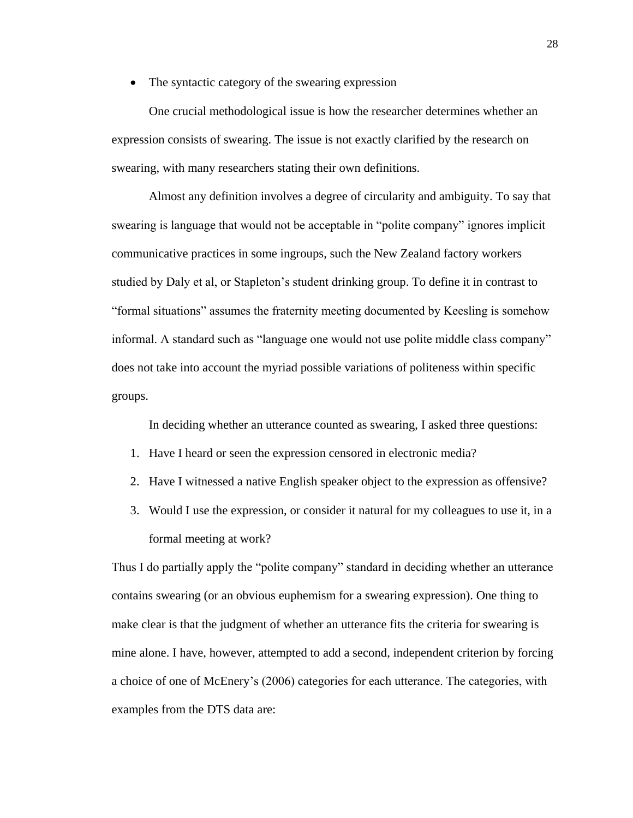• The syntactic category of the swearing expression

One crucial methodological issue is how the researcher determines whether an expression consists of swearing. The issue is not exactly clarified by the research on swearing, with many researchers stating their own definitions.

Almost any definition involves a degree of circularity and ambiguity. To say that swearing is language that would not be acceptable in "polite company" ignores implicit communicative practices in some ingroups, such the New Zealand factory workers studied by Daly et al, or Stapleton's student drinking group. To define it in contrast to "formal situations" assumes the fraternity meeting documented by Keesling is somehow informal. A standard such as "language one would not use polite middle class company" does not take into account the myriad possible variations of politeness within specific groups.

In deciding whether an utterance counted as swearing, I asked three questions:

- 1. Have I heard or seen the expression censored in electronic media?
- 2. Have I witnessed a native English speaker object to the expression as offensive?
- 3. Would I use the expression, or consider it natural for my colleagues to use it, in a formal meeting at work?

Thus I do partially apply the "polite company" standard in deciding whether an utterance contains swearing (or an obvious euphemism for a swearing expression). One thing to make clear is that the judgment of whether an utterance fits the criteria for swearing is mine alone. I have, however, attempted to add a second, independent criterion by forcing a choice of one of McEnery's (2006) categories for each utterance. The categories, with examples from the DTS data are: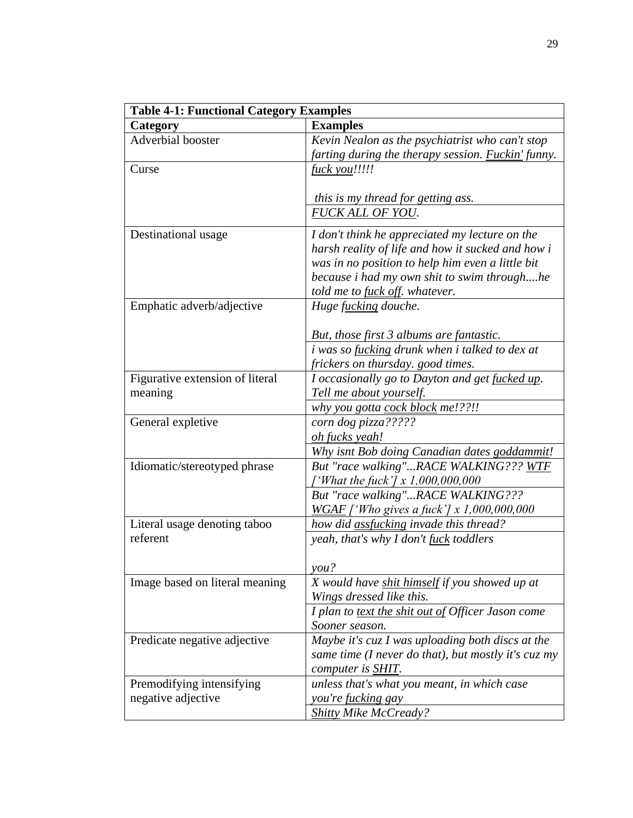| <b>Table 4-1: Functional Category Examples</b>  |                                                                                                                                                                                      |  |  |  |
|-------------------------------------------------|--------------------------------------------------------------------------------------------------------------------------------------------------------------------------------------|--|--|--|
| Category                                        | <b>Examples</b>                                                                                                                                                                      |  |  |  |
| Adverbial booster                               | Kevin Nealon as the psychiatrist who can't stop                                                                                                                                      |  |  |  |
|                                                 | farting during the therapy session. <b>Fuckin'</b> funny.                                                                                                                            |  |  |  |
| Curse                                           | <i>fuck you!!!!!</i>                                                                                                                                                                 |  |  |  |
|                                                 |                                                                                                                                                                                      |  |  |  |
|                                                 | this is my thread for getting ass.                                                                                                                                                   |  |  |  |
|                                                 | <b>FUCK ALL OF YOU.</b>                                                                                                                                                              |  |  |  |
| Destinational usage                             | I don't think he appreciated my lecture on the                                                                                                                                       |  |  |  |
|                                                 | harsh reality of life and how it sucked and how i                                                                                                                                    |  |  |  |
|                                                 | was in no position to help him even a little bit                                                                                                                                     |  |  |  |
|                                                 | because i had my own shit to swim throughhe                                                                                                                                          |  |  |  |
|                                                 | told me to <u>fuck off</u> . whatever.                                                                                                                                               |  |  |  |
| Emphatic adverb/adjective                       | Huge fucking douche.                                                                                                                                                                 |  |  |  |
|                                                 |                                                                                                                                                                                      |  |  |  |
|                                                 | But, those first 3 albums are fantastic.                                                                                                                                             |  |  |  |
|                                                 | i was so fucking drunk when i talked to dex at                                                                                                                                       |  |  |  |
|                                                 | frickers on thursday. good times.                                                                                                                                                    |  |  |  |
| Figurative extension of literal                 | I occasionally go to Dayton and get fucked up.                                                                                                                                       |  |  |  |
| meaning                                         | Tell me about yourself.                                                                                                                                                              |  |  |  |
|                                                 | why you gotta cock block me!??!!                                                                                                                                                     |  |  |  |
| General expletive                               | corn dog pizza?????                                                                                                                                                                  |  |  |  |
|                                                 | <u>oh fucks yeah!</u>                                                                                                                                                                |  |  |  |
|                                                 | Why isnt Bob doing Canadian dates goddammit!                                                                                                                                         |  |  |  |
| Idiomatic/stereotyped phrase                    | But "race walking"RACE WALKING??? WTF                                                                                                                                                |  |  |  |
|                                                 | $f'$ What the fuck'] x 1,000,000,000                                                                                                                                                 |  |  |  |
|                                                 | But "race walking"RACE WALKING???                                                                                                                                                    |  |  |  |
|                                                 | WGAF ['Who gives a fuck'] x 1,000,000,000                                                                                                                                            |  |  |  |
| Literal usage denoting taboo                    | how did <i>assfucking</i> invade this thread?                                                                                                                                        |  |  |  |
| referent                                        | yeah, that's why I don't fuck toddlers                                                                                                                                               |  |  |  |
|                                                 |                                                                                                                                                                                      |  |  |  |
|                                                 | $\gamma$ ou?                                                                                                                                                                         |  |  |  |
| Image based on literal meaning                  | X would have shit himself if you showed up at                                                                                                                                        |  |  |  |
|                                                 | Wings dressed like this.                                                                                                                                                             |  |  |  |
|                                                 | I plan to text the shit out of Officer Jason come                                                                                                                                    |  |  |  |
|                                                 | Sooner season.                                                                                                                                                                       |  |  |  |
| Predicate negative adjective                    | Maybe it's cuz I was uploading both discs at the                                                                                                                                     |  |  |  |
|                                                 |                                                                                                                                                                                      |  |  |  |
|                                                 |                                                                                                                                                                                      |  |  |  |
|                                                 |                                                                                                                                                                                      |  |  |  |
|                                                 |                                                                                                                                                                                      |  |  |  |
| Premodifying intensifying<br>negative adjective | same time (I never do that), but mostly it's cuz my<br>computer is SHIT.<br>unless that's what you meant, in which case<br>you're <u>fucking</u> gay<br><b>Shitty Mike McCready?</b> |  |  |  |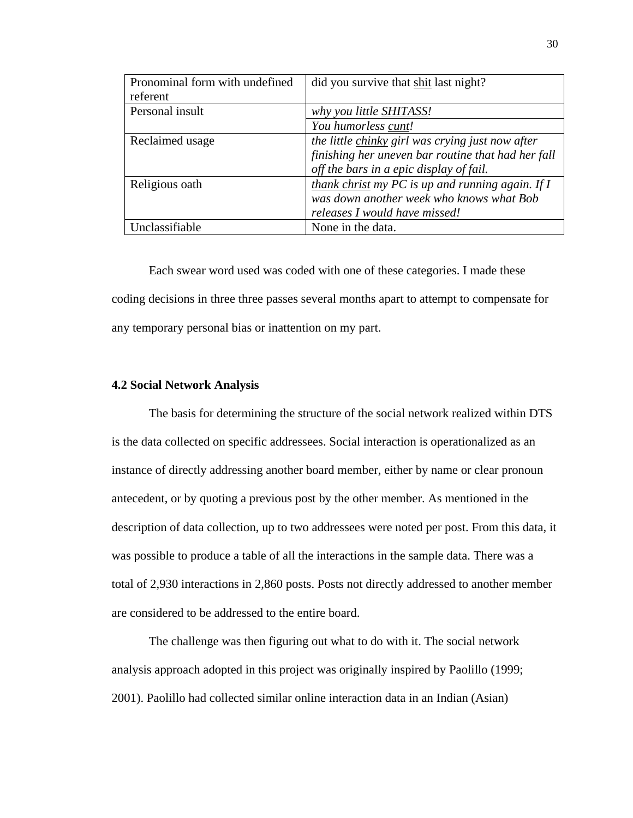| Pronominal form with undefined | did you survive that shit last night?              |
|--------------------------------|----------------------------------------------------|
| referent                       |                                                    |
| Personal insult                | why you little <b>SHITASS!</b>                     |
|                                | You humorless cunt!                                |
| Reclaimed usage                | the little chinky girl was crying just now after   |
|                                | finishing her uneven bar routine that had her fall |
|                                | off the bars in a epic display of fail.            |
| Religious oath                 | thank christ my PC is up and running again. If $I$ |
|                                | was down another week who knows what Bob           |
|                                | releases I would have missed!                      |
| Unclassifiable                 | None in the data.                                  |

Each swear word used was coded with one of these categories. I made these coding decisions in three three passes several months apart to attempt to compensate for any temporary personal bias or inattention on my part.

#### **4.2 Social Network Analysis**

The basis for determining the structure of the social network realized within DTS is the data collected on specific addressees. Social interaction is operationalized as an instance of directly addressing another board member, either by name or clear pronoun antecedent, or by quoting a previous post by the other member. As mentioned in the description of data collection, up to two addressees were noted per post. From this data, it was possible to produce a table of all the interactions in the sample data. There was a total of 2,930 interactions in 2,860 posts. Posts not directly addressed to another member are considered to be addressed to the entire board.

The challenge was then figuring out what to do with it. The social network analysis approach adopted in this project was originally inspired by Paolillo (1999; 2001). Paolillo had collected similar online interaction data in an Indian (Asian)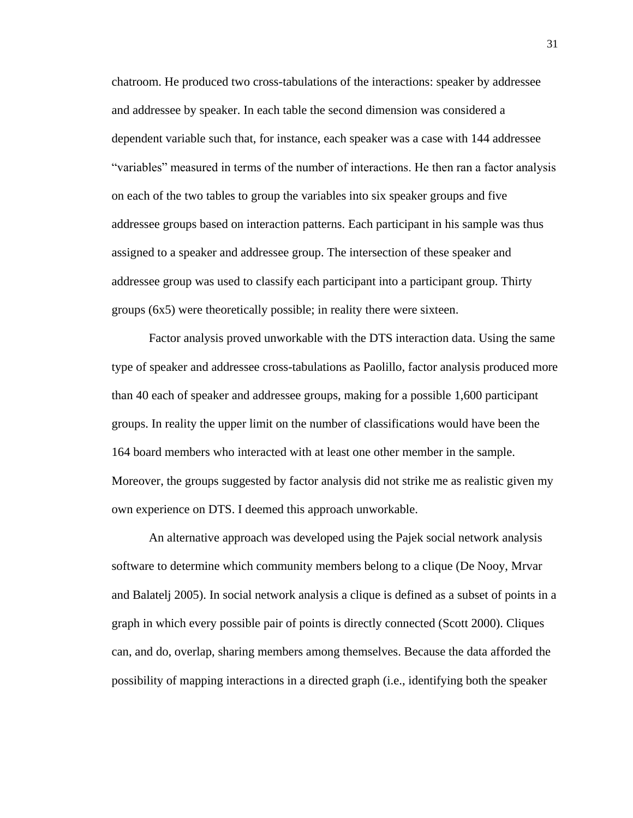chatroom. He produced two cross-tabulations of the interactions: speaker by addressee and addressee by speaker. In each table the second dimension was considered a dependent variable such that, for instance, each speaker was a case with 144 addressee "variables" measured in terms of the number of interactions. He then ran a factor analysis on each of the two tables to group the variables into six speaker groups and five addressee groups based on interaction patterns. Each participant in his sample was thus assigned to a speaker and addressee group. The intersection of these speaker and addressee group was used to classify each participant into a participant group. Thirty groups (6x5) were theoretically possible; in reality there were sixteen.

Factor analysis proved unworkable with the DTS interaction data. Using the same type of speaker and addressee cross-tabulations as Paolillo, factor analysis produced more than 40 each of speaker and addressee groups, making for a possible 1,600 participant groups. In reality the upper limit on the number of classifications would have been the 164 board members who interacted with at least one other member in the sample. Moreover, the groups suggested by factor analysis did not strike me as realistic given my own experience on DTS. I deemed this approach unworkable.

An alternative approach was developed using the Pajek social network analysis software to determine which community members belong to a clique (De Nooy, Mrvar and Balatelj 2005). In social network analysis a clique is defined as a subset of points in a graph in which every possible pair of points is directly connected (Scott 2000). Cliques can, and do, overlap, sharing members among themselves. Because the data afforded the possibility of mapping interactions in a directed graph (i.e., identifying both the speaker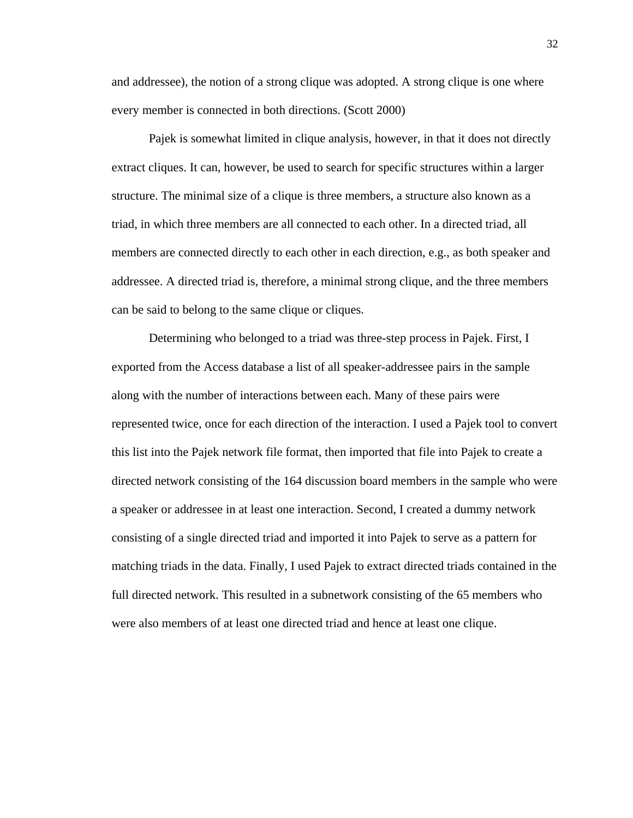and addressee), the notion of a strong clique was adopted. A strong clique is one where every member is connected in both directions. (Scott 2000)

Pajek is somewhat limited in clique analysis, however, in that it does not directly extract cliques. It can, however, be used to search for specific structures within a larger structure. The minimal size of a clique is three members, a structure also known as a triad, in which three members are all connected to each other. In a directed triad, all members are connected directly to each other in each direction, e.g., as both speaker and addressee. A directed triad is, therefore, a minimal strong clique, and the three members can be said to belong to the same clique or cliques.

Determining who belonged to a triad was three-step process in Pajek. First, I exported from the Access database a list of all speaker-addressee pairs in the sample along with the number of interactions between each. Many of these pairs were represented twice, once for each direction of the interaction. I used a Pajek tool to convert this list into the Pajek network file format, then imported that file into Pajek to create a directed network consisting of the 164 discussion board members in the sample who were a speaker or addressee in at least one interaction. Second, I created a dummy network consisting of a single directed triad and imported it into Pajek to serve as a pattern for matching triads in the data. Finally, I used Pajek to extract directed triads contained in the full directed network. This resulted in a subnetwork consisting of the 65 members who were also members of at least one directed triad and hence at least one clique.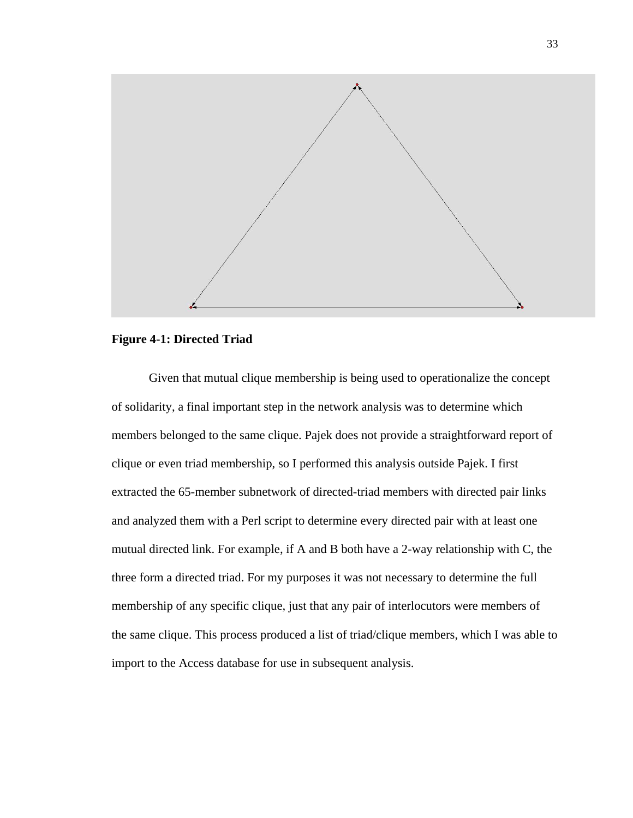

## **Figure 4-1: Directed Triad**

Given that mutual clique membership is being used to operationalize the concept of solidarity, a final important step in the network analysis was to determine which members belonged to the same clique. Pajek does not provide a straightforward report of clique or even triad membership, so I performed this analysis outside Pajek. I first extracted the 65-member subnetwork of directed-triad members with directed pair links and analyzed them with a Perl script to determine every directed pair with at least one mutual directed link. For example, if A and B both have a 2-way relationship with C, the three form a directed triad. For my purposes it was not necessary to determine the full membership of any specific clique, just that any pair of interlocutors were members of the same clique. This process produced a list of triad/clique members, which I was able to import to the Access database for use in subsequent analysis.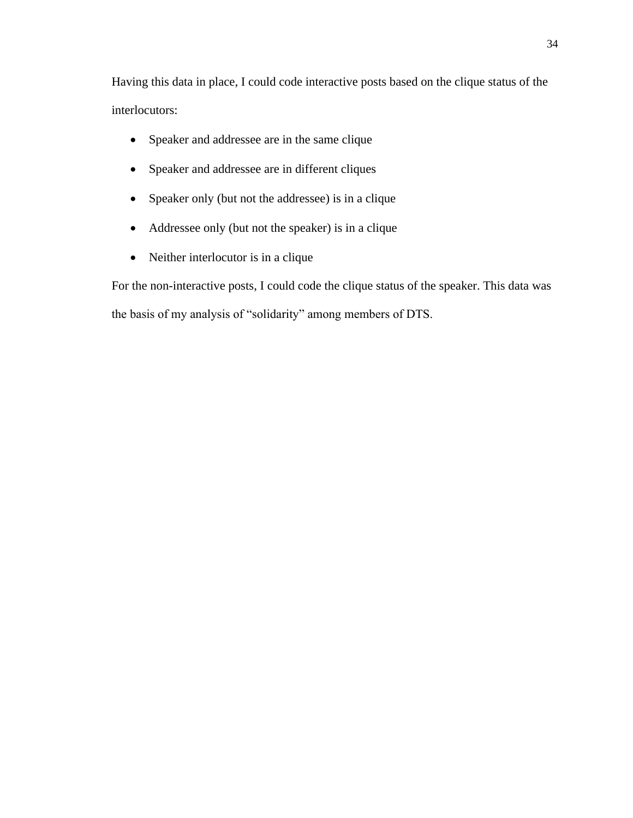Having this data in place, I could code interactive posts based on the clique status of the interlocutors:

- Speaker and addressee are in the same clique
- Speaker and addressee are in different cliques
- Speaker only (but not the addressee) is in a clique
- Addressee only (but not the speaker) is in a clique
- Neither interlocutor is in a clique

For the non-interactive posts, I could code the clique status of the speaker. This data was the basis of my analysis of "solidarity" among members of DTS.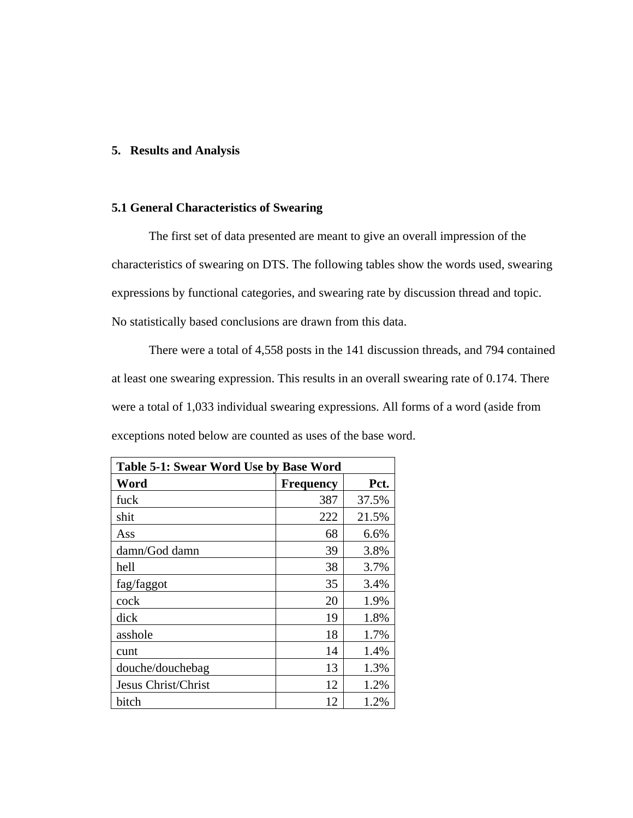## **5. Results and Analysis**

## **5.1 General Characteristics of Swearing**

The first set of data presented are meant to give an overall impression of the characteristics of swearing on DTS. The following tables show the words used, swearing expressions by functional categories, and swearing rate by discussion thread and topic. No statistically based conclusions are drawn from this data.

There were a total of 4,558 posts in the 141 discussion threads, and 794 contained at least one swearing expression. This results in an overall swearing rate of 0.174. There were a total of 1,033 individual swearing expressions. All forms of a word (aside from exceptions noted below are counted as uses of the base word.

| Table 5-1: Swear Word Use by Base Word |                  |       |  |  |  |
|----------------------------------------|------------------|-------|--|--|--|
| Word                                   | <b>Frequency</b> | Pct.  |  |  |  |
| fuck                                   | 387              | 37.5% |  |  |  |
| shit                                   | 222              | 21.5% |  |  |  |
| Ass                                    | 68               | 6.6%  |  |  |  |
| damn/God damn                          | 39               | 3.8%  |  |  |  |
| hell                                   | 38               | 3.7%  |  |  |  |
| fag/faggot                             | 35               | 3.4%  |  |  |  |
| cock                                   | 20               | 1.9%  |  |  |  |
| dick                                   | 19               | 1.8%  |  |  |  |
| asshole                                | 18               | 1.7%  |  |  |  |
| cunt                                   | 14               | 1.4%  |  |  |  |
| douche/douchebag                       | 13               | 1.3%  |  |  |  |
| Jesus Christ/Christ                    | 12               | 1.2%  |  |  |  |
| bitch                                  | 12               | 1.2%  |  |  |  |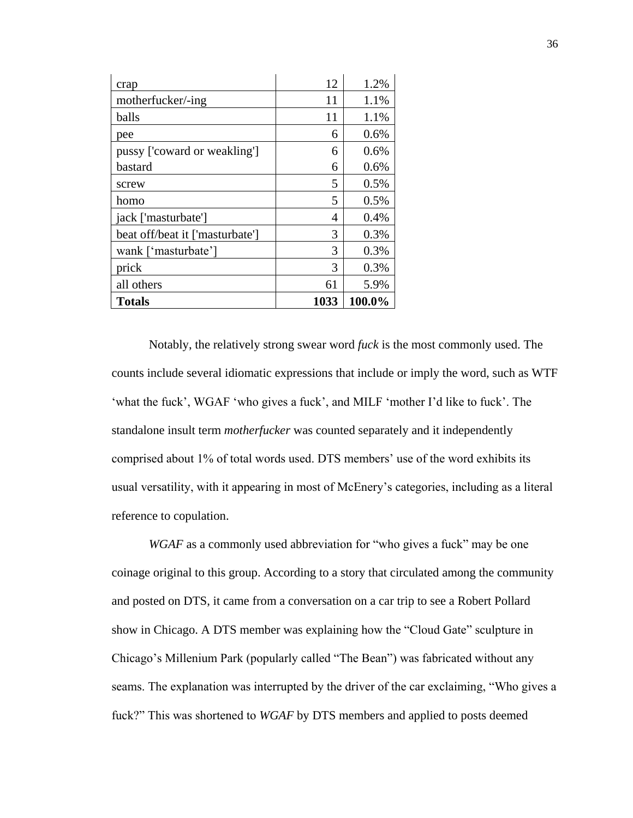| crap                            | 12   | 1.2%   |
|---------------------------------|------|--------|
| motherfucker/-ing               | 11   | 1.1%   |
| balls                           | 11   | 1.1%   |
| pee                             | 6    | 0.6%   |
| pussy ['coward or weakling']    | 6    | 0.6%   |
| bastard                         | 6    | 0.6%   |
| screw                           | 5    | 0.5%   |
| homo                            | 5    | 0.5%   |
| jack ['masturbate']             | 4    | 0.4%   |
| beat off/beat it ['masturbate'] | 3    | 0.3%   |
| wank ['masturbate']             | 3    | 0.3%   |
| prick                           | 3    | 0.3%   |
| all others                      | 61   | 5.9%   |
| <b>Totals</b>                   | 1033 | 100.0% |

Notably, the relatively strong swear word *fuck* is the most commonly used. The counts include several idiomatic expressions that include or imply the word, such as WTF 'what the fuck', WGAF 'who gives a fuck', and MILF 'mother I'd like to fuck'. The standalone insult term *motherfucker* was counted separately and it independently comprised about 1% of total words used. DTS members' use of the word exhibits its usual versatility, with it appearing in most of McEnery's categories, including as a literal reference to copulation.

*WGAF* as a commonly used abbreviation for "who gives a fuck" may be one coinage original to this group. According to a story that circulated among the community and posted on DTS, it came from a conversation on a car trip to see a Robert Pollard show in Chicago. A DTS member was explaining how the "Cloud Gate" sculpture in Chicago's Millenium Park (popularly called "The Bean") was fabricated without any seams. The explanation was interrupted by the driver of the car exclaiming, "Who gives a fuck?" This was shortened to *WGAF* by DTS members and applied to posts deemed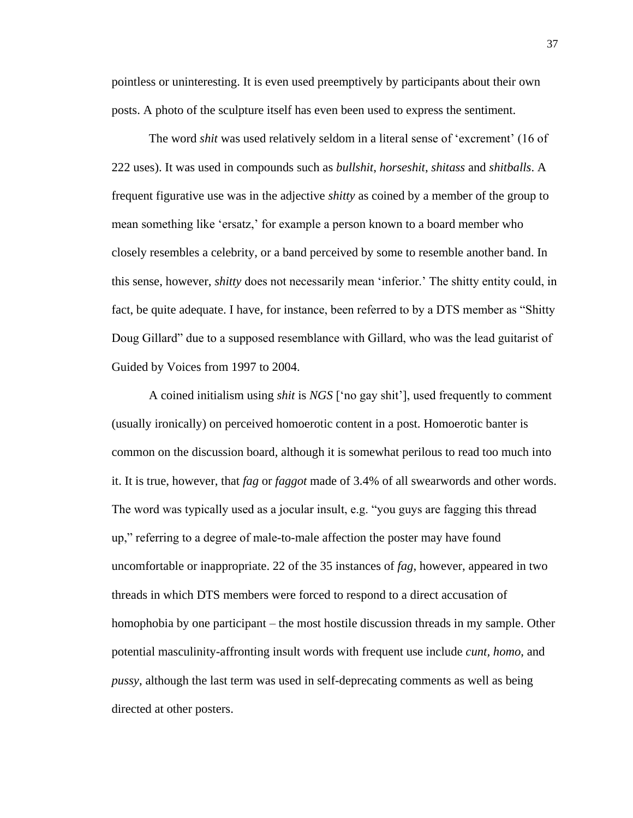pointless or uninteresting. It is even used preemptively by participants about their own posts. A photo of the sculpture itself has even been used to express the sentiment.

The word *shit* was used relatively seldom in a literal sense of 'excrement' (16 of 222 uses). It was used in compounds such as *bullshit*, *horseshit*, *shitass* and *shitballs*. A frequent figurative use was in the adjective *shitty* as coined by a member of the group to mean something like 'ersatz,' for example a person known to a board member who closely resembles a celebrity, or a band perceived by some to resemble another band. In this sense, however, *shitty* does not necessarily mean 'inferior.' The shitty entity could, in fact, be quite adequate. I have, for instance, been referred to by a DTS member as "Shitty Doug Gillard" due to a supposed resemblance with Gillard, who was the lead guitarist of Guided by Voices from 1997 to 2004.

A coined initialism using *shit* is *NGS* ['no gay shit'], used frequently to comment (usually ironically) on perceived homoerotic content in a post. Homoerotic banter is common on the discussion board, although it is somewhat perilous to read too much into it. It is true, however, that *fag* or *faggot* made of 3.4% of all swearwords and other words. The word was typically used as a jocular insult, e.g. "you guys are fagging this thread up," referring to a degree of male-to-male affection the poster may have found uncomfortable or inappropriate. 22 of the 35 instances of *fag*, however, appeared in two threads in which DTS members were forced to respond to a direct accusation of homophobia by one participant – the most hostile discussion threads in my sample. Other potential masculinity-affronting insult words with frequent use include *cunt, homo*, and *pussy*, although the last term was used in self-deprecating comments as well as being directed at other posters.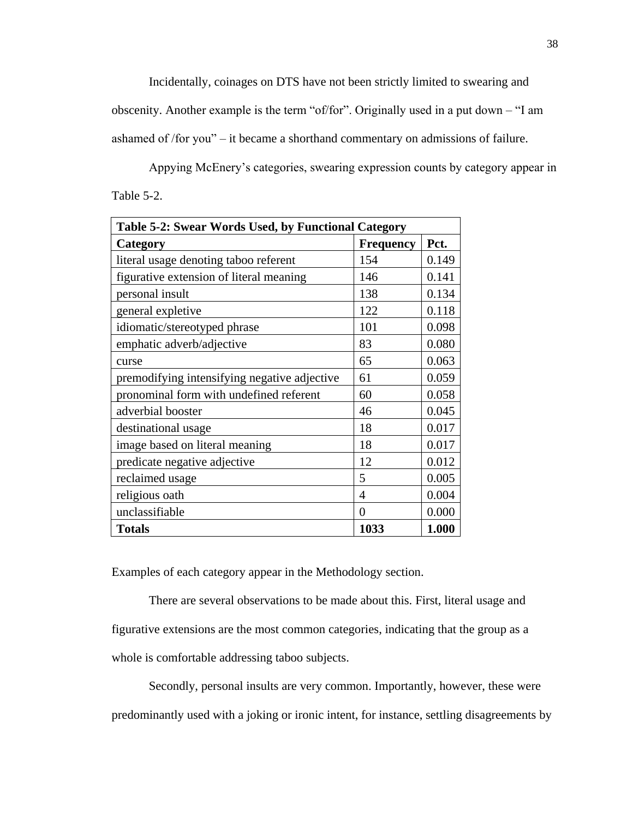Incidentally, coinages on DTS have not been strictly limited to swearing and

obscenity. Another example is the term "of/for". Originally used in a put down – "I am ashamed of /for you" – it became a shorthand commentary on admissions of failure.

Appying McEnery's categories, swearing expression counts by category appear in Table 5-2.

| Table 5-2: Swear Words Used, by Functional Category |                  |       |  |  |
|-----------------------------------------------------|------------------|-------|--|--|
| Category                                            | <b>Frequency</b> | Pct.  |  |  |
| literal usage denoting taboo referent               | 154              | 0.149 |  |  |
| figurative extension of literal meaning             | 146              | 0.141 |  |  |
| personal insult                                     | 138              | 0.134 |  |  |
| general expletive                                   | 122              | 0.118 |  |  |
| idiomatic/stereotyped phrase                        | 101              | 0.098 |  |  |
| emphatic adverb/adjective                           | 83               | 0.080 |  |  |
| curse                                               | 65               | 0.063 |  |  |
| premodifying intensifying negative adjective        | 61               | 0.059 |  |  |
| pronominal form with undefined referent             | 60               | 0.058 |  |  |
| adverbial booster                                   | 46               | 0.045 |  |  |
| destinational usage                                 | 18               | 0.017 |  |  |
| image based on literal meaning                      | 18               | 0.017 |  |  |
| predicate negative adjective                        | 12               | 0.012 |  |  |
| reclaimed usage                                     | 5                | 0.005 |  |  |
| religious oath                                      | 4                | 0.004 |  |  |
| unclassifiable                                      | 0                | 0.000 |  |  |
| <b>Totals</b>                                       | 1033             | 1.000 |  |  |

Examples of each category appear in the Methodology section.

There are several observations to be made about this. First, literal usage and figurative extensions are the most common categories, indicating that the group as a whole is comfortable addressing taboo subjects.

Secondly, personal insults are very common. Importantly, however, these were predominantly used with a joking or ironic intent, for instance, settling disagreements by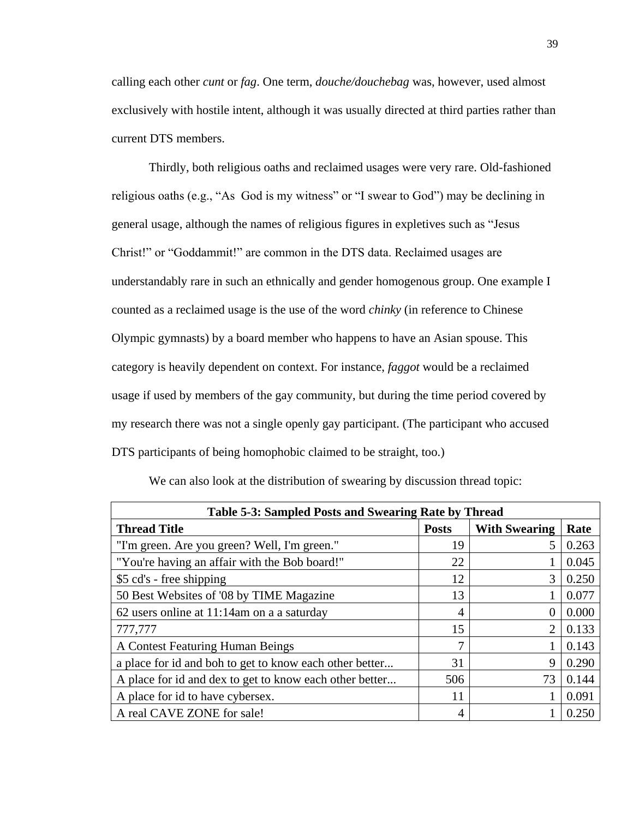calling each other *cunt* or *fag*. One term, *douche/douchebag* was, however, used almost exclusively with hostile intent, although it was usually directed at third parties rather than current DTS members.

Thirdly, both religious oaths and reclaimed usages were very rare. Old-fashioned religious oaths (e.g., "As God is my witness" or "I swear to God") may be declining in general usage, although the names of religious figures in expletives such as "Jesus Christ!" or "Goddammit!" are common in the DTS data. Reclaimed usages are understandably rare in such an ethnically and gender homogenous group. One example I counted as a reclaimed usage is the use of the word *chinky* (in reference to Chinese Olympic gymnasts) by a board member who happens to have an Asian spouse. This category is heavily dependent on context. For instance, *faggot* would be a reclaimed usage if used by members of the gay community, but during the time period covered by my research there was not a single openly gay participant. (The participant who accused DTS participants of being homophobic claimed to be straight, too.)

| Table 5-3: Sampled Posts and Swearing Rate by Thread    |              |                      |       |  |  |
|---------------------------------------------------------|--------------|----------------------|-------|--|--|
| <b>Thread Title</b>                                     | <b>Posts</b> | <b>With Swearing</b> | Rate  |  |  |
| "I'm green. Are you green? Well, I'm green."            | 19           | 5                    | 0.263 |  |  |
| "You're having an affair with the Bob board!"           | 22           |                      | 0.045 |  |  |
| \$5 cd's - free shipping                                | 12           | 3                    | 0.250 |  |  |
| 50 Best Websites of '08 by TIME Magazine                | 13           |                      | 0.077 |  |  |
| 62 users online at 11:14am on a a saturday              | 4            | $\theta$             | 0.000 |  |  |
| 777,777                                                 | 15           | $\overline{2}$       | 0.133 |  |  |
| A Contest Featuring Human Beings                        | ┑            |                      | 0.143 |  |  |
| a place for id and boh to get to know each other better | 31           | 9                    | 0.290 |  |  |
| A place for id and dex to get to know each other better | 506          | 73                   | 0.144 |  |  |
| A place for id to have cybersex.                        | 11           |                      | 0.091 |  |  |
| A real CAVE ZONE for sale!                              | 4            |                      | 0.250 |  |  |

We can also look at the distribution of swearing by discussion thread topic: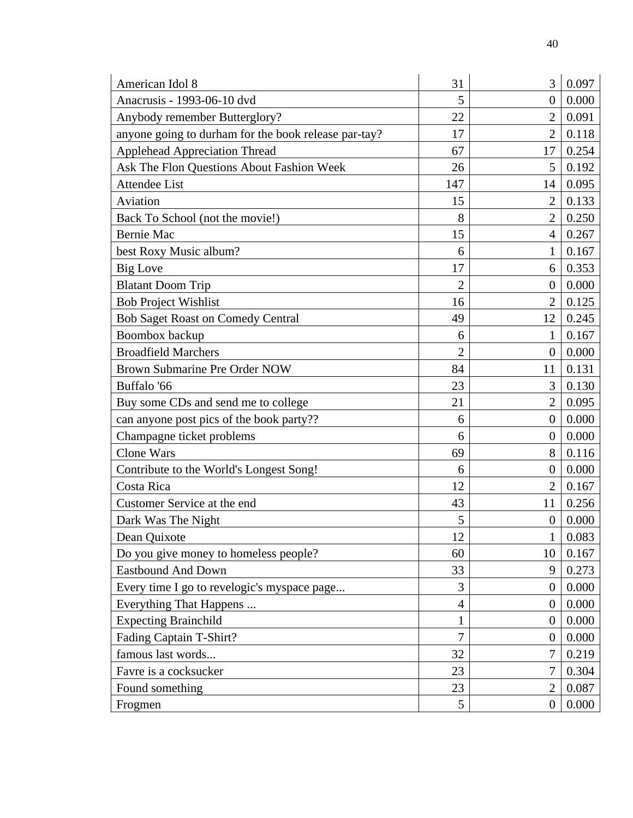| American Idol 8                                      | 31             | 3              | 0.097 |
|------------------------------------------------------|----------------|----------------|-------|
| Anacrusis - 1993-06-10 dvd                           | 5              | $\theta$       | 0.000 |
| Anybody remember Butterglory?                        | 22             | $\overline{2}$ | 0.091 |
| anyone going to durham for the book release par-tay? | 17             | $\overline{2}$ | 0.118 |
| <b>Applehead Appreciation Thread</b>                 | 67             | 17             | 0.254 |
| Ask The Flon Questions About Fashion Week            | 26             | 5              | 0.192 |
| <b>Attendee List</b>                                 | 147            | 14             | 0.095 |
| Aviation                                             | 15             | $\overline{2}$ | 0.133 |
| Back To School (not the movie!)                      | 8              | $\overline{2}$ | 0.250 |
| <b>Bernie Mac</b>                                    | 15             | $\overline{4}$ | 0.267 |
| best Roxy Music album?                               | 6              | 1              | 0.167 |
| <b>Big Love</b>                                      | 17             | 6              | 0.353 |
| <b>Blatant Doom Trip</b>                             | $\overline{2}$ | $\theta$       | 0.000 |
| <b>Bob Project Wishlist</b>                          | 16             | $\overline{2}$ | 0.125 |
| <b>Bob Saget Roast on Comedy Central</b>             | 49             | 12             | 0.245 |
| Boombox backup                                       | 6              | 1              | 0.167 |
| <b>Broadfield Marchers</b>                           | $\overline{2}$ | $\theta$       | 0.000 |
| Brown Submarine Pre Order NOW                        | 84             | 11             | 0.131 |
| Buffalo '66                                          | 23             | 3              | 0.130 |
| Buy some CDs and send me to college                  | 21             | $\overline{2}$ | 0.095 |
| can anyone post pics of the book party??             | 6              | $\overline{0}$ | 0.000 |
| Champagne ticket problems                            | 6              | $\theta$       | 0.000 |
| <b>Clone Wars</b>                                    | 69             | 8              | 0.116 |
| Contribute to the World's Longest Song!              | 6              | $\overline{0}$ | 0.000 |
| Costa Rica                                           | 12             | $\overline{2}$ | 0.167 |
| Customer Service at the end                          | 43             | 11             | 0.256 |
| Dark Was The Night                                   | 5              | $\overline{0}$ | 0.000 |
| Dean Quixote                                         | 12             | $\mathbf{1}$   | 0.083 |
| Do you give money to homeless people?                | 60             | 10             | 0.167 |
| <b>Eastbound And Down</b>                            | 33             | 9              | 0.273 |
| Every time I go to revelogic's myspace page          | 3              | $\Omega$       | 0.000 |
| Everything That Happens                              | $\overline{4}$ | $\theta$       | 0.000 |
| <b>Expecting Brainchild</b>                          | 1              | $\theta$       | 0.000 |
| Fading Captain T-Shirt?                              | $\overline{7}$ | $\Omega$       | 0.000 |
| famous last words                                    | 32             | $\overline{7}$ | 0.219 |
| Favre is a cocksucker                                | 23             | 7              | 0.304 |
| Found something                                      | 23             | $\overline{2}$ | 0.087 |
| Frogmen                                              | 5              | $\overline{0}$ | 0.000 |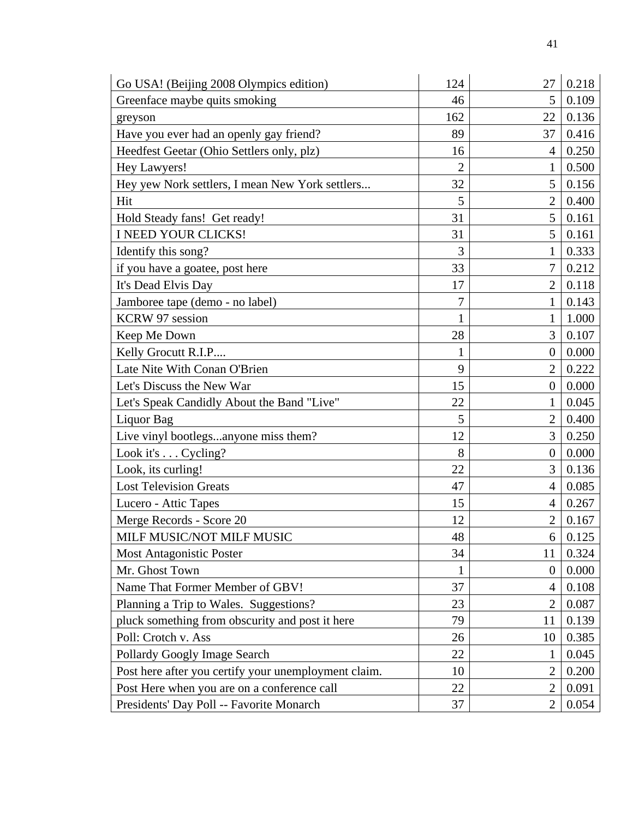| Go USA! (Beijing 2008 Olympics edition)              | 124            | 27             | 0.218 |
|------------------------------------------------------|----------------|----------------|-------|
| Greenface maybe quits smoking                        | 46             | 5              | 0.109 |
| greyson                                              | 162            | 22             | 0.136 |
| Have you ever had an openly gay friend?              | 89             | 37             | 0.416 |
| Heedfest Geetar (Ohio Settlers only, plz)            | 16             | 4              | 0.250 |
| Hey Lawyers!                                         | $\overline{2}$ | 1              | 0.500 |
| Hey yew Nork settlers, I mean New York settlers      | 32             | 5              | 0.156 |
| Hit                                                  | 5              | $\overline{2}$ | 0.400 |
| Hold Steady fans! Get ready!                         | 31             | 5              | 0.161 |
| I NEED YOUR CLICKS!                                  | 31             | 5              | 0.161 |
| Identify this song?                                  | 3              | 1              | 0.333 |
| if you have a goatee, post here                      | 33             | 7              | 0.212 |
| It's Dead Elvis Day                                  | 17             | $\overline{2}$ | 0.118 |
| Jamboree tape (demo - no label)                      | 7              | 1              | 0.143 |
| KCRW 97 session                                      | 1              | 1              | 1.000 |
| Keep Me Down                                         | 28             | 3              | 0.107 |
| Kelly Grocutt R.I.P                                  | $\mathbf{1}$   | $\overline{0}$ | 0.000 |
| Late Nite With Conan O'Brien                         | 9              | $\overline{2}$ | 0.222 |
| Let's Discuss the New War                            | 15             | $\theta$       | 0.000 |
| Let's Speak Candidly About the Band "Live"           | 22             | 1              | 0.045 |
| Liquor Bag                                           | 5              | $\overline{2}$ | 0.400 |
| Live vinyl bootlegsanyone miss them?                 | 12             | 3              | 0.250 |
| Look it's Cycling?                                   | 8              | $\theta$       | 0.000 |
| Look, its curling!                                   | 22             | 3              | 0.136 |
| <b>Lost Television Greats</b>                        | 47             | $\overline{4}$ | 0.085 |
| Lucero - Attic Tapes                                 | 15             | 4              | 0.267 |
| Merge Records - Score 20                             | 12             | $\overline{2}$ | 0.167 |
| MILF MUSIC/NOT MILF MUSIC                            | 48             | 6              | 0.125 |
| <b>Most Antagonistic Poster</b>                      | 34             | 11             | 0.324 |
| Mr. Ghost Town                                       | 1              | $\overline{0}$ | 0.000 |
| Name That Former Member of GBV!                      | 37             | 4              | 0.108 |
| Planning a Trip to Wales. Suggestions?               | 23             | $\overline{2}$ | 0.087 |
| pluck something from obscurity and post it here      | 79             | 11             | 0.139 |
| Poll: Crotch v. Ass                                  | 26             | 10             | 0.385 |
| Pollardy Googly Image Search                         | 22             | 1              | 0.045 |
| Post here after you certify your unemployment claim. | 10             | $\overline{2}$ | 0.200 |
| Post Here when you are on a conference call          | 22             | $\overline{2}$ | 0.091 |
| Presidents' Day Poll -- Favorite Monarch             | 37             | $\overline{2}$ | 0.054 |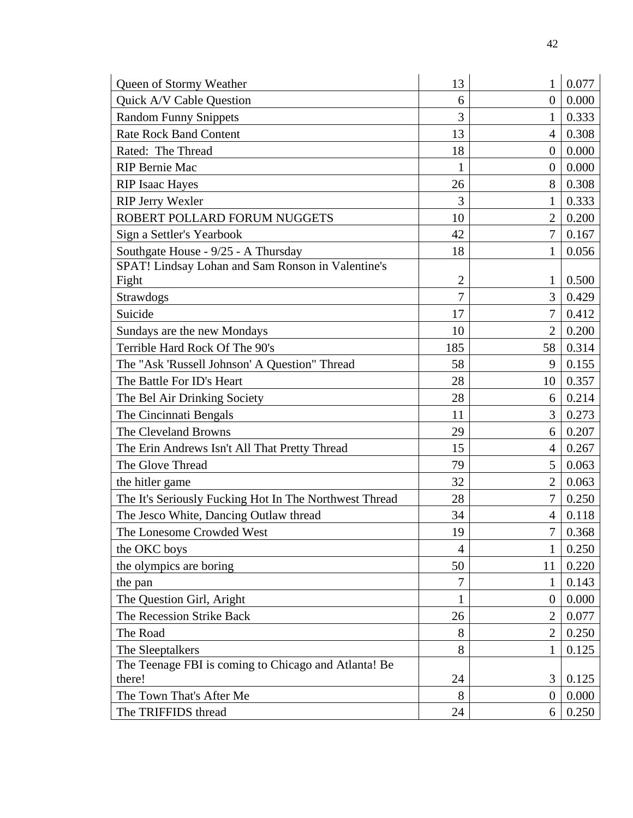| Queen of Stormy Weather                                | 13             | 1              | 0.077 |
|--------------------------------------------------------|----------------|----------------|-------|
| Quick A/V Cable Question                               | 6              | $\theta$       | 0.000 |
| <b>Random Funny Snippets</b>                           | 3              |                | 0.333 |
| <b>Rate Rock Band Content</b>                          | 13             | 4              | 0.308 |
| Rated: The Thread                                      | 18             | $\overline{0}$ | 0.000 |
| <b>RIP Bernie Mac</b>                                  | 1              | $\theta$       | 0.000 |
| <b>RIP Isaac Hayes</b>                                 | 26             | 8              | 0.308 |
| <b>RIP Jerry Wexler</b>                                | 3              | 1              | 0.333 |
| ROBERT POLLARD FORUM NUGGETS                           | 10             | 2              | 0.200 |
| Sign a Settler's Yearbook                              | 42             | 7              | 0.167 |
| Southgate House - 9/25 - A Thursday                    | 18             | 1              | 0.056 |
| SPAT! Lindsay Lohan and Sam Ronson in Valentine's      |                |                |       |
| Fight                                                  | $\overline{2}$ | 1              | 0.500 |
| Strawdogs                                              | 7              | 3              | 0.429 |
| Suicide                                                | 17             | 7              | 0.412 |
| Sundays are the new Mondays                            | 10             | $\overline{2}$ | 0.200 |
| Terrible Hard Rock Of The 90's                         | 185            | 58             | 0.314 |
| The "Ask 'Russell Johnson' A Question" Thread          | 58             | 9              | 0.155 |
| The Battle For ID's Heart                              | 28             | 10             | 0.357 |
| The Bel Air Drinking Society                           | 28             | 6              | 0.214 |
| The Cincinnati Bengals                                 | 11             | 3              | 0.273 |
| The Cleveland Browns                                   | 29             | 6              | 0.207 |
| The Erin Andrews Isn't All That Pretty Thread          | 15             | 4              | 0.267 |
| The Glove Thread                                       | 79             | 5              | 0.063 |
| the hitler game                                        | 32             | $\overline{2}$ | 0.063 |
| The It's Seriously Fucking Hot In The Northwest Thread | 28             | $\overline{7}$ | 0.250 |
| The Jesco White, Dancing Outlaw thread                 | 34             | 4              | 0.118 |
| The Lonesome Crowded West                              | 19             | 7              | 0.368 |
| the OKC boys                                           | 4              | 1              | 0.250 |
| the olympics are boring                                | 50             | 11             | 0.220 |
| the pan                                                | 7              |                | 0.143 |
| The Question Girl, Aright                              | 1              | $\theta$       | 0.000 |
| The Recession Strike Back                              | 26             | $\overline{2}$ | 0.077 |
| The Road                                               | 8              | 2              | 0.250 |
| The Sleeptalkers                                       | 8              |                | 0.125 |
| The Teenage FBI is coming to Chicago and Atlanta! Be   |                |                |       |
| there!                                                 | 24             | 3              | 0.125 |
| The Town That's After Me                               | 8              | $\theta$       | 0.000 |
| The TRIFFIDS thread                                    | 24             | 6              | 0.250 |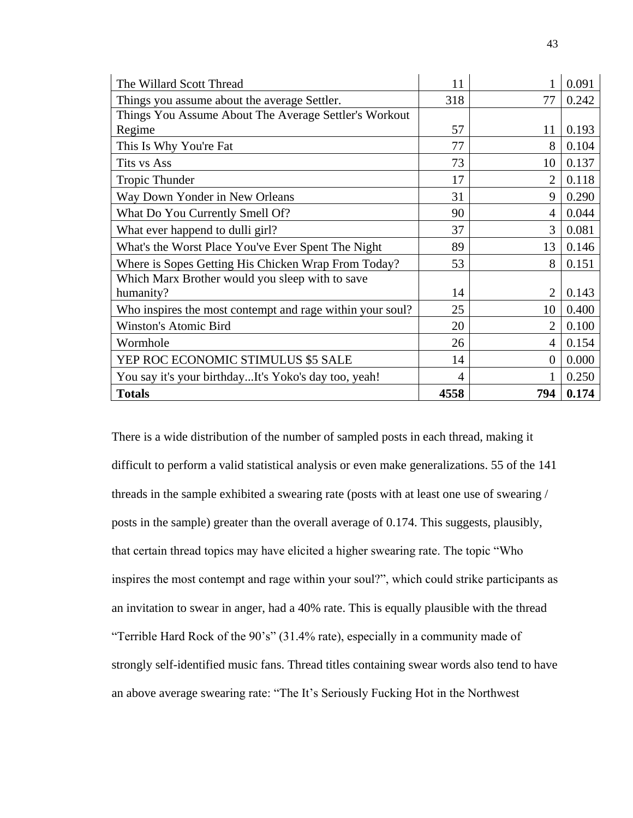| The Willard Scott Thread                                  | 11   |                | 0.091 |
|-----------------------------------------------------------|------|----------------|-------|
| Things you assume about the average Settler.              | 318  | 77             | 0.242 |
| Things You Assume About The Average Settler's Workout     |      |                |       |
| Regime                                                    | 57   | 11             | 0.193 |
| This Is Why You're Fat                                    | 77   | 8              | 0.104 |
| Tits vs Ass                                               | 73   | 10             | 0.137 |
| <b>Tropic Thunder</b>                                     | 17   | 2              | 0.118 |
| Way Down Yonder in New Orleans                            | 31   | 9              | 0.290 |
| What Do You Currently Smell Of?                           | 90   | 4              | 0.044 |
| What ever happend to dulli girl?                          | 37   | 3              | 0.081 |
| What's the Worst Place You've Ever Spent The Night        | 89   | 13             | 0.146 |
| Where is Sopes Getting His Chicken Wrap From Today?       | 53   | 8              | 0.151 |
| Which Marx Brother would you sleep with to save           |      |                |       |
| humanity?                                                 | 14   | $\overline{2}$ | 0.143 |
| Who inspires the most contempt and rage within your soul? | 25   | 10             | 0.400 |
| Winston's Atomic Bird                                     | 20   | 2              | 0.100 |
| Wormhole                                                  | 26   | 4              | 0.154 |
| YEP ROC ECONOMIC STIMULUS \$5 SALE                        | 14   | $\theta$       | 0.000 |
| You say it's your birthdayIt's Yoko's day too, yeah!      | 4    |                | 0.250 |
| <b>Totals</b>                                             | 4558 | 794            | 0.174 |

There is a wide distribution of the number of sampled posts in each thread, making it difficult to perform a valid statistical analysis or even make generalizations. 55 of the 141 threads in the sample exhibited a swearing rate (posts with at least one use of swearing / posts in the sample) greater than the overall average of 0.174. This suggests, plausibly, that certain thread topics may have elicited a higher swearing rate. The topic "Who inspires the most contempt and rage within your soul?", which could strike participants as an invitation to swear in anger, had a 40% rate. This is equally plausible with the thread "Terrible Hard Rock of the 90's" (31.4% rate), especially in a community made of strongly self-identified music fans. Thread titles containing swear words also tend to have an above average swearing rate: "The It's Seriously Fucking Hot in the Northwest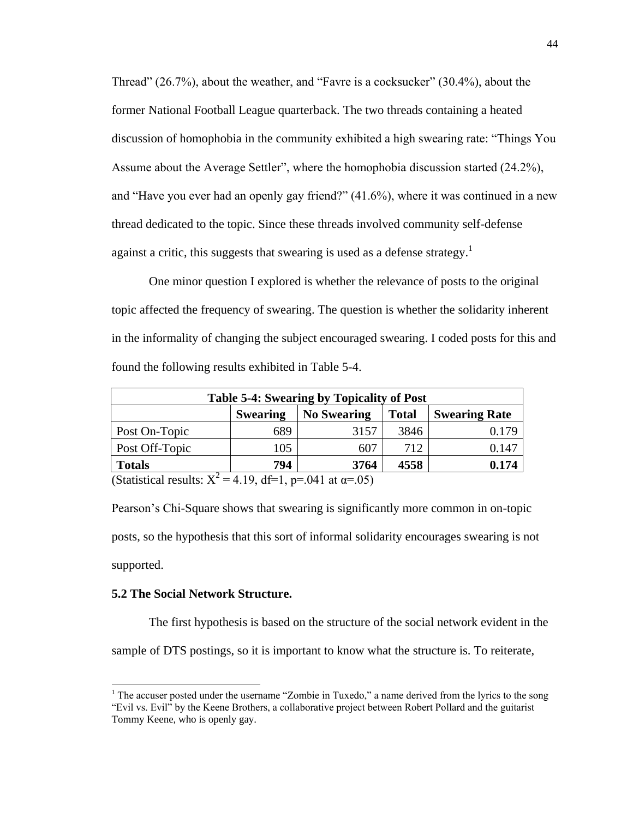Thread" (26.7%), about the weather, and "Favre is a cocksucker" (30.4%), about the former National Football League quarterback. The two threads containing a heated discussion of homophobia in the community exhibited a high swearing rate: "Things You Assume about the Average Settler", where the homophobia discussion started (24.2%), and "Have you ever had an openly gay friend?" (41.6%), where it was continued in a new thread dedicated to the topic. Since these threads involved community self-defense against a critic, this suggests that swearing is used as a defense strategy.<sup>1</sup>

One minor question I explored is whether the relevance of posts to the original topic affected the frequency of swearing. The question is whether the solidarity inherent in the informality of changing the subject encouraged swearing. I coded posts for this and found the following results exhibited in Table 5-4.

| <b>Table 5-4: Swearing by Topicality of Post</b>                              |     |      |      |       |  |  |  |
|-------------------------------------------------------------------------------|-----|------|------|-------|--|--|--|
| <b>Swearing</b><br><b>No Swearing</b><br><b>Swearing Rate</b><br><b>Total</b> |     |      |      |       |  |  |  |
| Post On-Topic                                                                 | 689 | 3157 | 3846 | 0.179 |  |  |  |
| Post Off-Topic                                                                | 105 | 607  | 712  | 0.147 |  |  |  |
| <b>Totals</b>                                                                 | 794 | 3764 | 4558 | 0.174 |  |  |  |
| (Statistical results: $Y^2 = 4.10$ df-1 n-041 at $y = 0.65$ )                 |     |      |      |       |  |  |  |

(Statistical results:  $X^2 = 4.19$ , df=1, p=.041 at  $\alpha = .05$ )

Pearson's Chi-Square shows that swearing is significantly more common in on-topic posts, so the hypothesis that this sort of informal solidarity encourages swearing is not supported.

## **5.2 The Social Network Structure.**

 $\overline{a}$ 

The first hypothesis is based on the structure of the social network evident in the sample of DTS postings, so it is important to know what the structure is. To reiterate,

<sup>&</sup>lt;sup>1</sup> The accuser posted under the username "Zombie in Tuxedo," a name derived from the lyrics to the song "Evil vs. Evil" by the Keene Brothers, a collaborative project between Robert Pollard and the guitarist Tommy Keene, who is openly gay.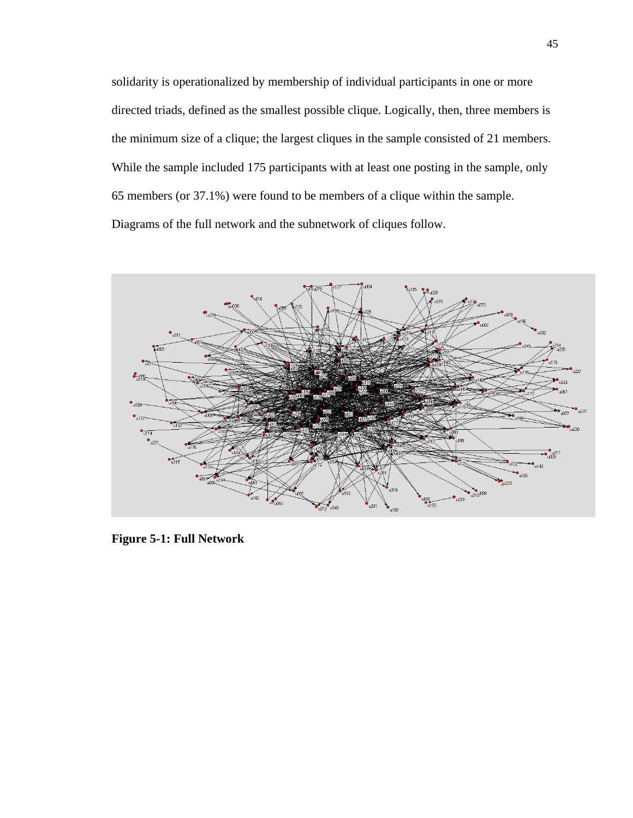solidarity is operationalized by membership of individual participants in one or more directed triads, defined as the smallest possible clique. Logically, then, three members is the minimum size of a clique; the largest cliques in the sample consisted of 21 members. While the sample included 175 participants with at least one posting in the sample, only 65 members (or 37.1%) were found to be members of a clique within the sample. Diagrams of the full network and the subnetwork of cliques follow.



**Figure 5-1: Full Network**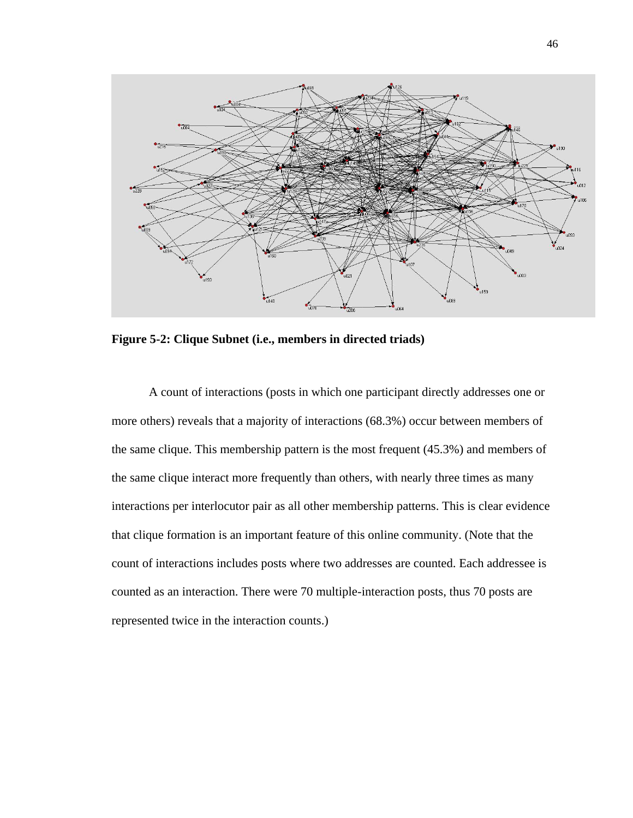

**Figure 5-2: Clique Subnet (i.e., members in directed triads)**

A count of interactions (posts in which one participant directly addresses one or more others) reveals that a majority of interactions (68.3%) occur between members of the same clique. This membership pattern is the most frequent (45.3%) and members of the same clique interact more frequently than others, with nearly three times as many interactions per interlocutor pair as all other membership patterns. This is clear evidence that clique formation is an important feature of this online community. (Note that the count of interactions includes posts where two addresses are counted. Each addressee is counted as an interaction. There were 70 multiple-interaction posts, thus 70 posts are represented twice in the interaction counts.)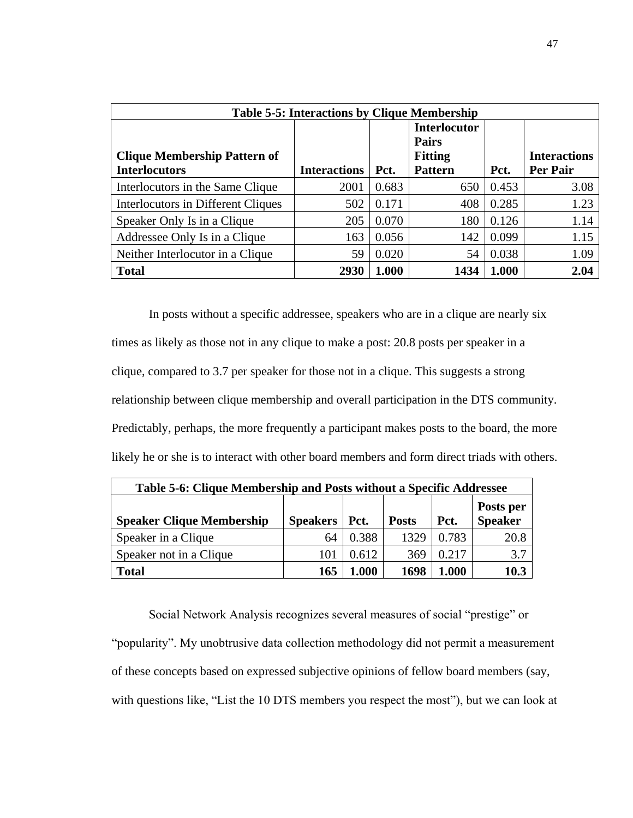| <b>Table 5-5: Interactions by Clique Membership</b>         |                     |       |                                                                         |       |                                 |  |  |
|-------------------------------------------------------------|---------------------|-------|-------------------------------------------------------------------------|-------|---------------------------------|--|--|
| <b>Clique Membership Pattern of</b><br><b>Interlocutors</b> | <b>Interactions</b> | Pct.  | <b>Interlocutor</b><br><b>Pairs</b><br><b>Fitting</b><br><b>Pattern</b> | Pct.  | <b>Interactions</b><br>Per Pair |  |  |
| Interlocutors in the Same Clique                            | 2001                | 0.683 | 650                                                                     | 0.453 | 3.08                            |  |  |
| Interlocutors in Different Cliques                          | 502                 | 0.171 | 408                                                                     | 0.285 | 1.23                            |  |  |
| Speaker Only Is in a Clique                                 | 205                 | 0.070 | 180                                                                     | 0.126 | 1.14                            |  |  |
| Addressee Only Is in a Clique                               | 163                 | 0.056 | 142                                                                     | 0.099 | 1.15                            |  |  |
| Neither Interlocutor in a Clique                            | 59                  | 0.020 | 54                                                                      | 0.038 | 1.09                            |  |  |
| <b>Total</b>                                                | 2930                | 1.000 | 1434                                                                    | 1.000 | 2.04                            |  |  |

In posts without a specific addressee, speakers who are in a clique are nearly six times as likely as those not in any clique to make a post: 20.8 posts per speaker in a clique, compared to 3.7 per speaker for those not in a clique. This suggests a strong relationship between clique membership and overall participation in the DTS community. Predictably, perhaps, the more frequently a participant makes posts to the board, the more likely he or she is to interact with other board members and form direct triads with others.

| Table 5-6: Clique Membership and Posts without a Specific Addressee                                           |     |       |      |       |      |  |  |
|---------------------------------------------------------------------------------------------------------------|-----|-------|------|-------|------|--|--|
| Posts per<br>Speaker<br><b>Speakers</b><br><b>Speaker Clique Membership</b><br>Pct.<br>  Pct.<br><b>Posts</b> |     |       |      |       |      |  |  |
| Speaker in a Clique                                                                                           | 64  | 0.388 | 1329 | 0.783 | 20.8 |  |  |
| Speaker not in a Clique                                                                                       | 101 | 0.612 | 369  | 0.217 | 3.7  |  |  |
| <b>Total</b>                                                                                                  | 165 | 1.000 | 1698 | 1.000 | 10.3 |  |  |

Social Network Analysis recognizes several measures of social "prestige" or "popularity". My unobtrusive data collection methodology did not permit a measurement of these concepts based on expressed subjective opinions of fellow board members (say, with questions like, "List the 10 DTS members you respect the most", but we can look at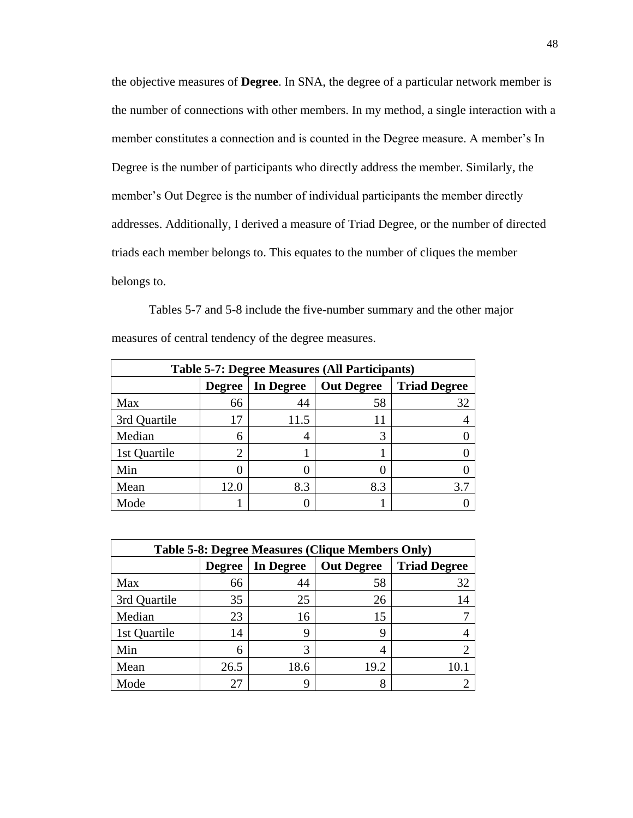the objective measures of **Degree**. In SNA, the degree of a particular network member is the number of connections with other members. In my method, a single interaction with a member constitutes a connection and is counted in the Degree measure. A member's In Degree is the number of participants who directly address the member. Similarly, the member's Out Degree is the number of individual participants the member directly addresses. Additionally, I derived a measure of Triad Degree, or the number of directed triads each member belongs to. This equates to the number of cliques the member belongs to.

Tables 5-7 and 5-8 include the five-number summary and the other major measures of central tendency of the degree measures.

| <b>Table 5-7: Degree Measures (All Participants)</b> |                                                                        |      |     |     |  |  |
|------------------------------------------------------|------------------------------------------------------------------------|------|-----|-----|--|--|
|                                                      | <b>Triad Degree</b><br><b>Out Degree</b><br>In Degree<br><b>Degree</b> |      |     |     |  |  |
| Max                                                  | 66                                                                     | 44   | 58  | 32  |  |  |
| 3rd Quartile                                         | 17                                                                     | 11.5 |     |     |  |  |
| Median                                               | 6                                                                      | 4    | 3   |     |  |  |
| 1st Quartile                                         | 2                                                                      |      |     |     |  |  |
| Min                                                  |                                                                        |      |     |     |  |  |
| Mean                                                 | 12.0                                                                   | 8.3  | 8.3 | 3.7 |  |  |
| Mode                                                 |                                                                        |      |     |     |  |  |

| <b>Table 5-8: Degree Measures (Clique Members Only)</b> |                                                                        |      |      |    |  |  |
|---------------------------------------------------------|------------------------------------------------------------------------|------|------|----|--|--|
|                                                         | <b>Triad Degree</b><br>In Degree<br><b>Out Degree</b><br><b>Degree</b> |      |      |    |  |  |
| Max                                                     | 66                                                                     | 44   | 58   | 32 |  |  |
| 3rd Quartile                                            | 35                                                                     | 25   | 26   | 14 |  |  |
| Median                                                  | 23                                                                     | 16   | 15   |    |  |  |
| 1st Quartile                                            | 14                                                                     | 9    | Q    |    |  |  |
| Min                                                     | 6                                                                      | 3    | 4    |    |  |  |
| Mean                                                    | 26.5                                                                   | 18.6 | 19.2 |    |  |  |
| Mode                                                    | 27                                                                     | q    | 8    |    |  |  |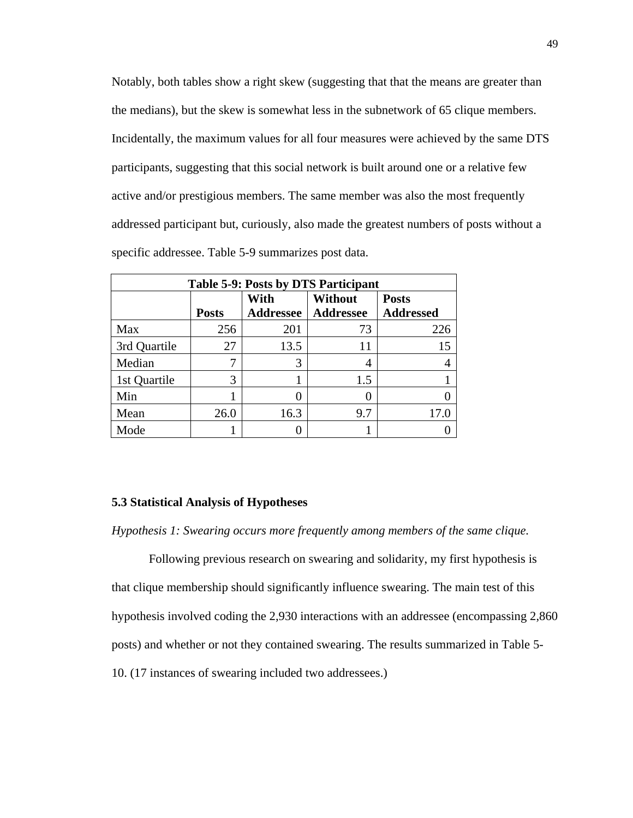Notably, both tables show a right skew (suggesting that that the means are greater than the medians), but the skew is somewhat less in the subnetwork of 65 clique members. Incidentally, the maximum values for all four measures were achieved by the same DTS participants, suggesting that this social network is built around one or a relative few active and/or prestigious members. The same member was also the most frequently addressed participant but, curiously, also made the greatest numbers of posts without a specific addressee. Table 5-9 summarizes post data.

| <b>Table 5-9: Posts by DTS Participant</b> |              |                          |                                    |                                  |  |  |
|--------------------------------------------|--------------|--------------------------|------------------------------------|----------------------------------|--|--|
|                                            | <b>Posts</b> | With<br><b>Addressee</b> | <b>Without</b><br><b>Addressee</b> | <b>Posts</b><br><b>Addressed</b> |  |  |
| Max                                        | 256          | 201                      | 73                                 | 226                              |  |  |
| 3rd Quartile                               | 27           | 13.5                     | 11                                 | 15                               |  |  |
| Median                                     |              | 3                        | 4                                  |                                  |  |  |
| 1st Quartile                               | 3            |                          | 1.5                                |                                  |  |  |
| Min                                        |              | $\mathbf{\Omega}$        |                                    |                                  |  |  |
| Mean                                       | 26.0         | 16.3                     | 9.7                                | 17.0                             |  |  |
| Mode                                       |              |                          |                                    |                                  |  |  |

### **5.3 Statistical Analysis of Hypotheses**

*Hypothesis 1: Swearing occurs more frequently among members of the same clique.*

Following previous research on swearing and solidarity, my first hypothesis is that clique membership should significantly influence swearing. The main test of this hypothesis involved coding the 2,930 interactions with an addressee (encompassing 2,860 posts) and whether or not they contained swearing. The results summarized in Table 5- 10. (17 instances of swearing included two addressees.)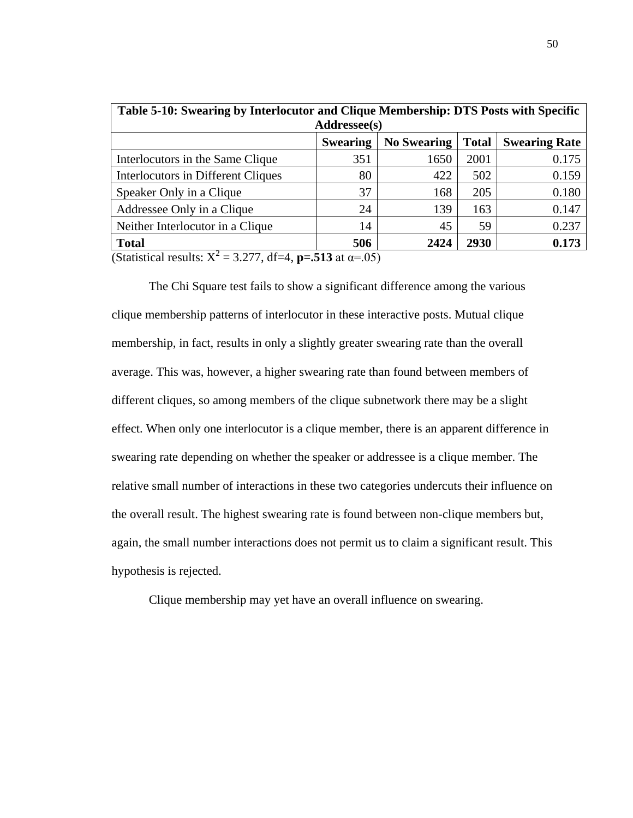| Table 5-10: Swearing by Interlocutor and Clique Membership: DTS Posts with Specific<br>Addressee(s) |     |      |      |       |  |  |  |
|-----------------------------------------------------------------------------------------------------|-----|------|------|-------|--|--|--|
| <b>No Swearing</b><br><b>Total</b><br><b>Swearing Rate</b><br><b>Swearing</b>                       |     |      |      |       |  |  |  |
| Interlocutors in the Same Clique                                                                    | 351 | 1650 | 2001 | 0.175 |  |  |  |
| Interlocutors in Different Cliques                                                                  | 80  | 422  | 502  | 0.159 |  |  |  |
| Speaker Only in a Clique                                                                            | 37  | 168  | 205  | 0.180 |  |  |  |
| Addressee Only in a Clique                                                                          | 24  | 139  | 163  | 0.147 |  |  |  |
| Neither Interlocutor in a Clique                                                                    | 14  | 45   | 59   | 0.237 |  |  |  |
| <b>Total</b>                                                                                        | 506 | 2424 | 2930 | 0.173 |  |  |  |

(Statistical results:  $X^2 = 3.277$ , df=4, **p=.513** at  $\alpha = .05$ )

The Chi Square test fails to show a significant difference among the various clique membership patterns of interlocutor in these interactive posts. Mutual clique membership, in fact, results in only a slightly greater swearing rate than the overall average. This was, however, a higher swearing rate than found between members of different cliques, so among members of the clique subnetwork there may be a slight effect. When only one interlocutor is a clique member, there is an apparent difference in swearing rate depending on whether the speaker or addressee is a clique member. The relative small number of interactions in these two categories undercuts their influence on the overall result. The highest swearing rate is found between non-clique members but, again, the small number interactions does not permit us to claim a significant result. This hypothesis is rejected.

Clique membership may yet have an overall influence on swearing.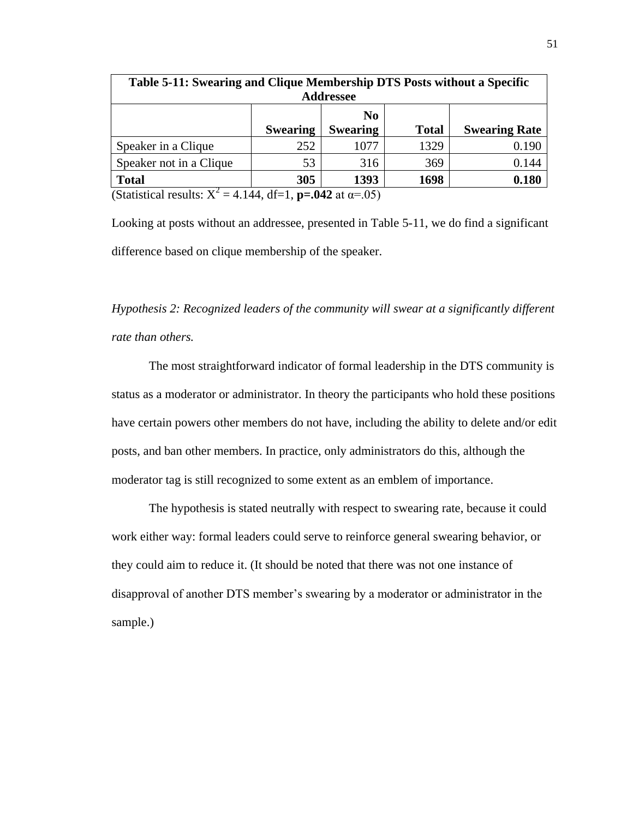| Table 5-11: Swearing and Clique Membership DTS Posts without a Specific       |                 |                  |              |                      |  |  |
|-------------------------------------------------------------------------------|-----------------|------------------|--------------|----------------------|--|--|
|                                                                               |                 | <b>Addressee</b> |              |                      |  |  |
|                                                                               |                 | N <sub>0</sub>   |              |                      |  |  |
|                                                                               | <b>Swearing</b> | <b>Swearing</b>  | <b>Total</b> | <b>Swearing Rate</b> |  |  |
| Speaker in a Clique                                                           | 252             | 1077             | 1329         | 0.190                |  |  |
| Speaker not in a Clique                                                       | 53              | 316              | 369          | 0.144                |  |  |
| <b>Total</b>                                                                  | 305             | 1393             | 1698         | 0.180                |  |  |
| (Statistical results: $X^2 = 4.144$ , df=1, <b>p=.042</b> at $\alpha = .05$ ) |                 |                  |              |                      |  |  |

Looking at posts without an addressee, presented in Table 5-11, we do find a significant difference based on clique membership of the speaker.

*Hypothesis 2: Recognized leaders of the community will swear at a significantly different rate than others.*

The most straightforward indicator of formal leadership in the DTS community is status as a moderator or administrator. In theory the participants who hold these positions have certain powers other members do not have, including the ability to delete and/or edit posts, and ban other members. In practice, only administrators do this, although the moderator tag is still recognized to some extent as an emblem of importance.

The hypothesis is stated neutrally with respect to swearing rate, because it could work either way: formal leaders could serve to reinforce general swearing behavior, or they could aim to reduce it. (It should be noted that there was not one instance of disapproval of another DTS member's swearing by a moderator or administrator in the sample.)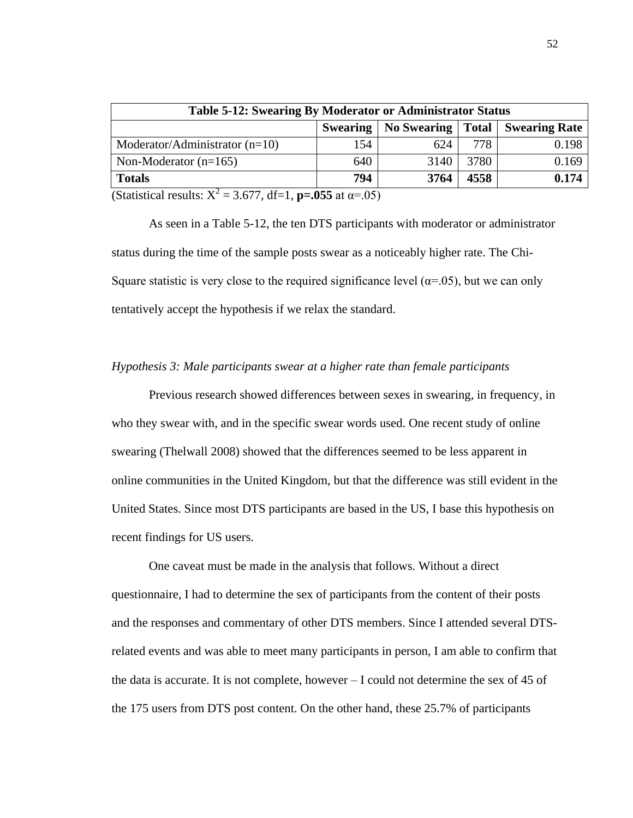| <b>Table 5-12: Swearing By Moderator or Administrator Status</b>              |     |      |      |       |  |  |
|-------------------------------------------------------------------------------|-----|------|------|-------|--|--|
| No Swearing   Total   Swearing Rate<br><b>Swearing</b>                        |     |      |      |       |  |  |
| Moderator/Administrator $(n=10)$                                              | 154 | 624  | 778  | 0.198 |  |  |
| Non-Moderator $(n=165)$                                                       | 640 | 3140 | 3780 | 0.169 |  |  |
| 794<br>4558<br>3764<br>0.174<br><b>Totals</b>                                 |     |      |      |       |  |  |
| (Statistical results: $X^2 = 3.677$ , df=1, <b>p=.055</b> at $\alpha = .05$ ) |     |      |      |       |  |  |

As seen in a Table 5-12, the ten DTS participants with moderator or administrator status during the time of the sample posts swear as a noticeably higher rate. The Chi-Square statistic is very close to the required significance level ( $\alpha$ =.05), but we can only tentatively accept the hypothesis if we relax the standard.

## *Hypothesis 3: Male participants swear at a higher rate than female participants*

Previous research showed differences between sexes in swearing, in frequency, in who they swear with, and in the specific swear words used. One recent study of online swearing (Thelwall 2008) showed that the differences seemed to be less apparent in online communities in the United Kingdom, but that the difference was still evident in the United States. Since most DTS participants are based in the US, I base this hypothesis on recent findings for US users.

One caveat must be made in the analysis that follows. Without a direct questionnaire, I had to determine the sex of participants from the content of their posts and the responses and commentary of other DTS members. Since I attended several DTSrelated events and was able to meet many participants in person, I am able to confirm that the data is accurate. It is not complete, however – I could not determine the sex of 45 of the 175 users from DTS post content. On the other hand, these 25.7% of participants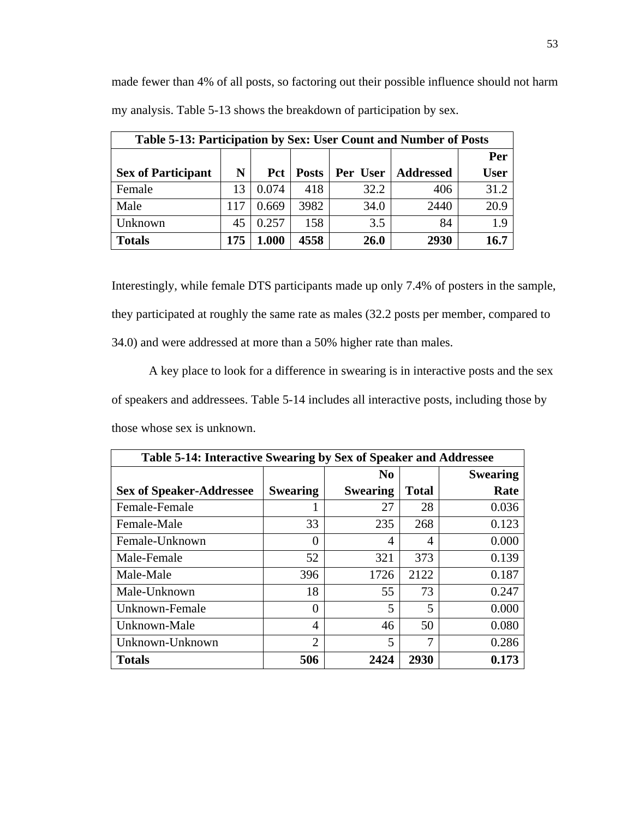made fewer than 4% of all posts, so factoring out their possible influence should not harm my analysis. Table 5-13 shows the breakdown of participation by sex.

| Table 5-13: Participation by Sex: User Count and Number of Posts |     |       |              |      |                      |             |
|------------------------------------------------------------------|-----|-------|--------------|------|----------------------|-------------|
|                                                                  |     |       |              |      |                      | Per         |
| <b>Sex of Participant</b>                                        | N   | Pct   | <b>Posts</b> |      | Per User   Addressed | <b>User</b> |
| Female                                                           | 13  | 0.074 | 418          | 32.2 | 406                  | 31.2        |
| Male                                                             | 117 | 0.669 | 3982         | 34.0 | 2440                 | 20.9        |
| Unknown                                                          | 45  | 0.257 | 158          | 3.5  | 84                   | 1.9         |
| <b>Totals</b>                                                    | 175 | 1.000 | 4558         | 26.0 | 2930                 | 16.7        |

Interestingly, while female DTS participants made up only 7.4% of posters in the sample, they participated at roughly the same rate as males (32.2 posts per member, compared to 34.0) and were addressed at more than a 50% higher rate than males.

A key place to look for a difference in swearing is in interactive posts and the sex of speakers and addressees. Table 5-14 includes all interactive posts, including those by those whose sex is unknown.

| Table 5-14: Interactive Swearing by Sex of Speaker and Addressee |                 |                 |              |                 |  |
|------------------------------------------------------------------|-----------------|-----------------|--------------|-----------------|--|
|                                                                  |                 | N <sub>0</sub>  |              | <b>Swearing</b> |  |
| <b>Sex of Speaker-Addressee</b>                                  | <b>Swearing</b> | <b>Swearing</b> | <b>Total</b> | Rate            |  |
| Female-Female                                                    |                 | 27              | 28           | 0.036           |  |
| Female-Male                                                      | 33              | 235             | 268          | 0.123           |  |
| Female-Unknown                                                   | 0               | 4               | 4            | 0.000           |  |
| Male-Female                                                      | 52              | 321             | 373          | 0.139           |  |
| Male-Male                                                        | 396             | 1726            | 2122         | 0.187           |  |
| Male-Unknown                                                     | 18              | 55              | 73           | 0.247           |  |
| Unknown-Female                                                   | 0               | 5               | 5            | 0.000           |  |
| Unknown-Male                                                     | 4               | 46              | 50           | 0.080           |  |
| Unknown-Unknown                                                  | $\overline{2}$  | 5               | 7            | 0.286           |  |
| <b>Totals</b>                                                    | 506             | 2424            | 2930         | 0.173           |  |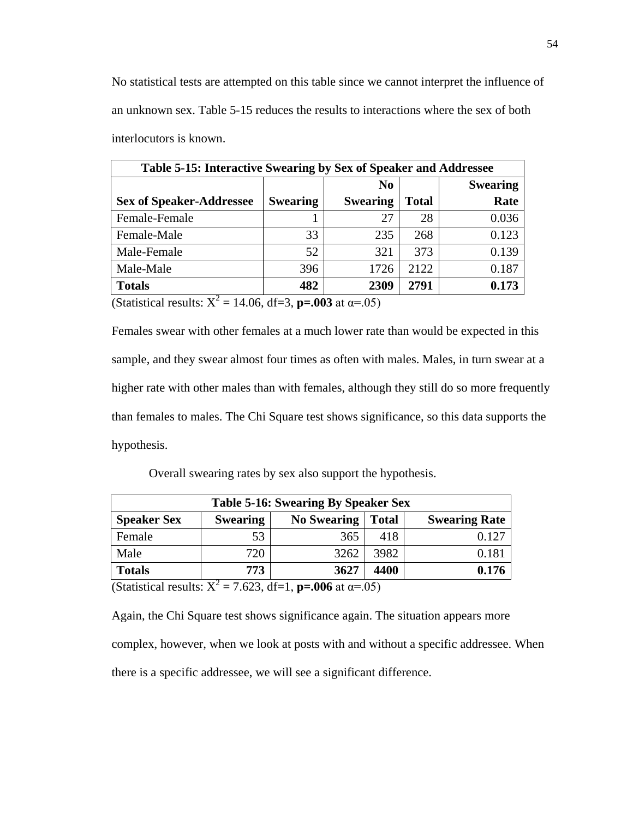No statistical tests are attempted on this table since we cannot interpret the influence of an unknown sex. Table 5-15 reduces the results to interactions where the sex of both interlocutors is known.

| Table 5-15: Interactive Swearing by Sex of Speaker and Addressee |                 |                 |              |                 |  |
|------------------------------------------------------------------|-----------------|-----------------|--------------|-----------------|--|
|                                                                  |                 | N <sub>0</sub>  |              | <b>Swearing</b> |  |
| <b>Sex of Speaker-Addressee</b>                                  | <b>Swearing</b> | <b>Swearing</b> | <b>Total</b> | Rate            |  |
| Female-Female                                                    |                 | 27              | 28           | 0.036           |  |
| Female-Male                                                      | 33              | 235             | 268          | 0.123           |  |
| Male-Female                                                      | 52              | 321             | 373          | 0.139           |  |
| Male-Male                                                        | 396             | 1726            | 2122         | 0.187           |  |
| <b>Totals</b><br>$\overline{ }$                                  | 482             | 2309            | 2791         | 0.173           |  |

(Statistical results:  $X^2 = 14.06$ , df=3, **p=.003** at  $\alpha = .05$ )

Females swear with other females at a much lower rate than would be expected in this sample, and they swear almost four times as often with males. Males, in turn swear at a higher rate with other males than with females, although they still do so more frequently than females to males. The Chi Square test shows significance, so this data supports the hypothesis.

Overall swearing rates by sex also support the hypothesis.

| <b>Table 5-16: Swearing By Speaker Sex</b>                |                 |                    |              |                      |  |  |
|-----------------------------------------------------------|-----------------|--------------------|--------------|----------------------|--|--|
| <b>Speaker Sex</b>                                        | <b>Swearing</b> | <b>No Swearing</b> | <b>Total</b> | <b>Swearing Rate</b> |  |  |
| Female                                                    | 53              | 365                | 418          | 0.127                |  |  |
| Male                                                      | 720             | 3262               | 3982         | $0.18^{\circ}$       |  |  |
| <b>Totals</b>                                             | 773             | 3627               | 4400         | 0.176                |  |  |
| $-7.622$ df-1 n-006 of $y = 0.5$<br>$\sigma$ $\sim$ $V^2$ |                 |                    |              |                      |  |  |

(Statistical results:  $X^2 = 7.623$ , df=1, **p=.006** at  $\alpha = .05$ )

Again, the Chi Square test shows significance again. The situation appears more complex, however, when we look at posts with and without a specific addressee. When there is a specific addressee, we will see a significant difference.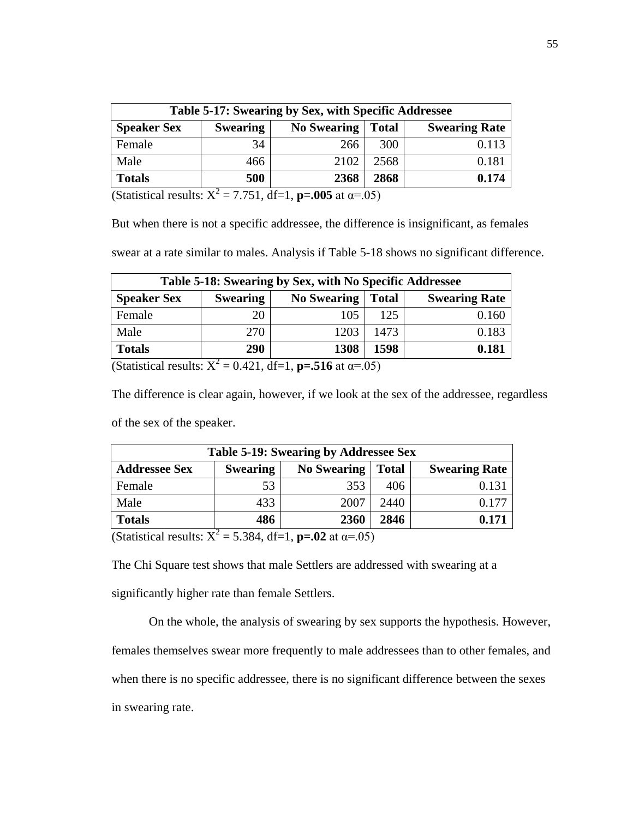| Table 5-17: Swearing by Sex, with Specific Addressee           |                 |                    |              |                      |  |  |
|----------------------------------------------------------------|-----------------|--------------------|--------------|----------------------|--|--|
| <b>Speaker Sex</b>                                             | <b>Swearing</b> | <b>No Swearing</b> | <b>Total</b> | <b>Swearing Rate</b> |  |  |
| Female                                                         | 34              | 266                | 300          |                      |  |  |
| Male                                                           | 466             | 2102               | 2568         | 0.181                |  |  |
| <b>Totals</b>                                                  | 500             | 2368               | 2868         | 0.174                |  |  |
| $7.751$ $1f-1$ $m = 0.05$ of $m = 0.5$<br>$\mathbf{V}^{\perp}$ |                 |                    |              |                      |  |  |

(Statistical results:  $X^2 = 7.751$ , df=1, **p=.005** at  $\alpha = .05$ )

But when there is not a specific addressee, the difference is insignificant, as females

swear at a rate similar to males. Analysis if Table 5-18 shows no significant difference.

| Table 5-18: Swearing by Sex, with No Specific Addressee |                 |                    |              |                      |  |  |  |
|---------------------------------------------------------|-----------------|--------------------|--------------|----------------------|--|--|--|
| <b>Speaker Sex</b>                                      | <b>Swearing</b> | <b>No Swearing</b> | <b>Total</b> | <b>Swearing Rate</b> |  |  |  |
| Female                                                  | 20              | 105                | 125          | 0.160                |  |  |  |
| Male                                                    | 270             | 1203               | 1473         | 0.183                |  |  |  |
| <b>Totals</b>                                           | 290             | 1308               | 1598         | 0.181                |  |  |  |

(Statistical results:  $X^2 = 0.421$ , df=1, **p=.516** at  $\alpha = .05$ )

The difference is clear again, however, if we look at the sex of the addressee, regardless of the sex of the speaker.

| Table 5-19: Swearing by Addressee Sex                                  |                 |                    |              |                      |  |  |  |
|------------------------------------------------------------------------|-----------------|--------------------|--------------|----------------------|--|--|--|
| <b>Addressee Sex</b>                                                   | <b>Swearing</b> | <b>No Swearing</b> | <b>Total</b> | <b>Swearing Rate</b> |  |  |  |
| Female                                                                 | 53              | 353                | 406          | 0.131                |  |  |  |
| Male                                                                   | 433             | 2007               | 2440         | 0.177                |  |  |  |
| <b>Totals</b>                                                          | 486             | 2360               | 2846         | 0.171                |  |  |  |
| $(0 + 1 - 1 - 1 - 1 + 1 + 1)$<br>$5.204$ $10.1$ $-0.2$ $+$ $05\lambda$ |                 |                    |              |                      |  |  |  |

(Statistical results:  $X^2 = 5.384$ , df=1, **p=.02** at  $\alpha = .05$ )

The Chi Square test shows that male Settlers are addressed with swearing at a significantly higher rate than female Settlers.

On the whole, the analysis of swearing by sex supports the hypothesis. However, females themselves swear more frequently to male addressees than to other females, and when there is no specific addressee, there is no significant difference between the sexes in swearing rate.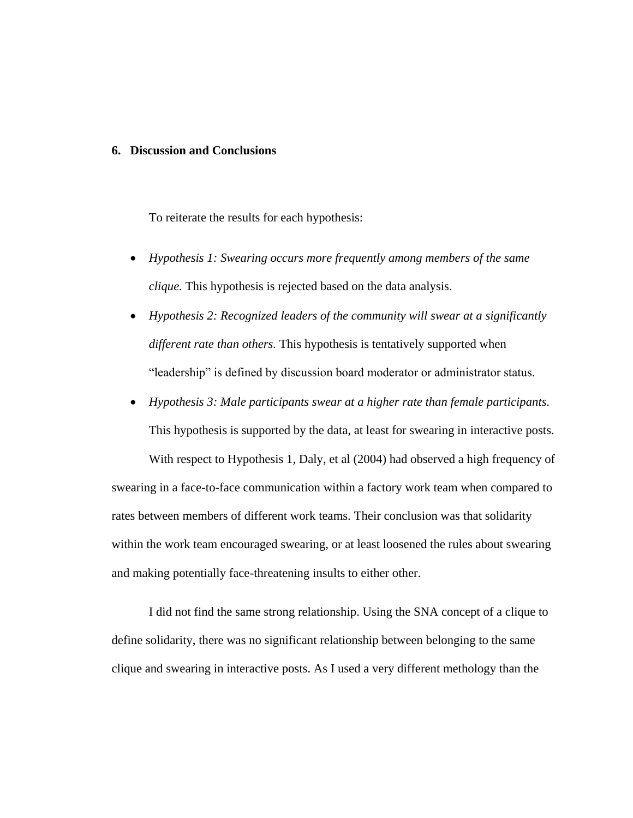## **6. Discussion and Conclusions**

To reiterate the results for each hypothesis:

- *Hypothesis 1: Swearing occurs more frequently among members of the same clique.* This hypothesis is rejected based on the data analysis.
- *Hypothesis 2: Recognized leaders of the community will swear at a significantly different rate than others.* This hypothesis is tentatively supported when "leadership" is defined by discussion board moderator or administrator status.
- *Hypothesis 3: Male participants swear at a higher rate than female participants.* This hypothesis is supported by the data, at least for swearing in interactive posts. With respect to Hypothesis 1, Daly, et al (2004) had observed a high frequency of swearing in a face-to-face communication within a factory work team when compared to rates between members of different work teams. Their conclusion was that solidarity within the work team encouraged swearing, or at least loosened the rules about swearing

and making potentially face-threatening insults to either other. I did not find the same strong relationship. Using the SNA concept of a clique to

define solidarity, there was no significant relationship between belonging to the same clique and swearing in interactive posts. As I used a very different methology than the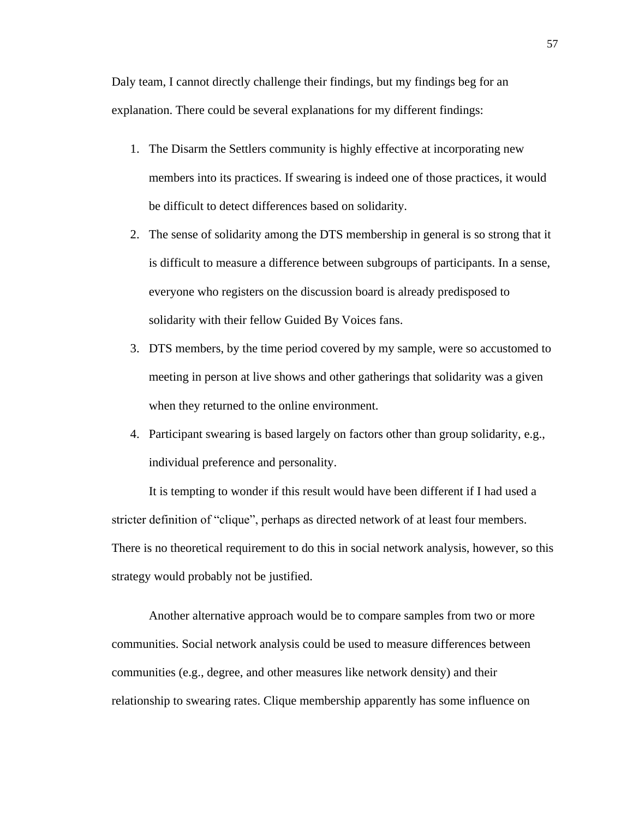Daly team, I cannot directly challenge their findings, but my findings beg for an explanation. There could be several explanations for my different findings:

- 1. The Disarm the Settlers community is highly effective at incorporating new members into its practices. If swearing is indeed one of those practices, it would be difficult to detect differences based on solidarity.
- 2. The sense of solidarity among the DTS membership in general is so strong that it is difficult to measure a difference between subgroups of participants. In a sense, everyone who registers on the discussion board is already predisposed to solidarity with their fellow Guided By Voices fans.
- 3. DTS members, by the time period covered by my sample, were so accustomed to meeting in person at live shows and other gatherings that solidarity was a given when they returned to the online environment.
- 4. Participant swearing is based largely on factors other than group solidarity, e.g., individual preference and personality.

It is tempting to wonder if this result would have been different if I had used a stricter definition of "clique", perhaps as directed network of at least four members. There is no theoretical requirement to do this in social network analysis, however, so this strategy would probably not be justified.

Another alternative approach would be to compare samples from two or more communities. Social network analysis could be used to measure differences between communities (e.g., degree, and other measures like network density) and their relationship to swearing rates. Clique membership apparently has some influence on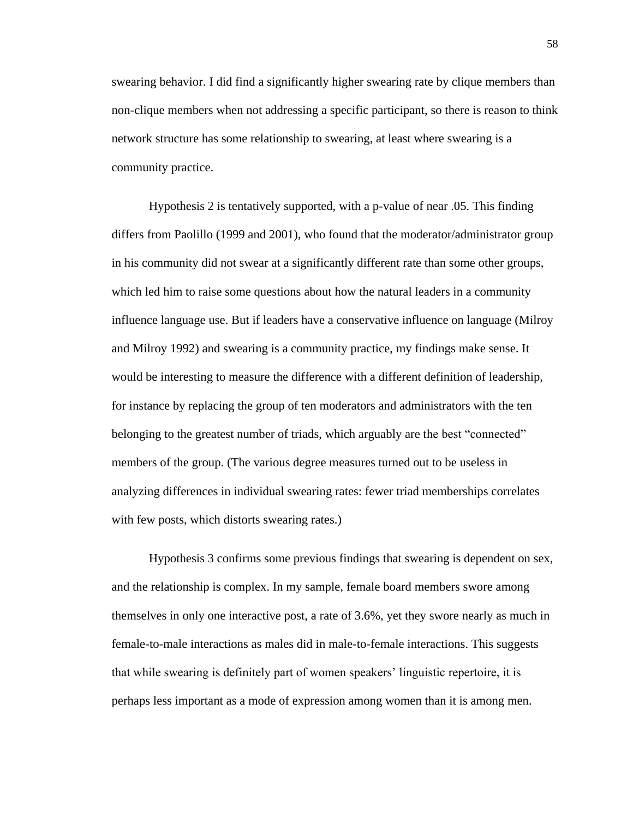swearing behavior. I did find a significantly higher swearing rate by clique members than non-clique members when not addressing a specific participant, so there is reason to think network structure has some relationship to swearing, at least where swearing is a community practice.

Hypothesis 2 is tentatively supported, with a p-value of near .05. This finding differs from Paolillo (1999 and 2001), who found that the moderator/administrator group in his community did not swear at a significantly different rate than some other groups, which led him to raise some questions about how the natural leaders in a community influence language use. But if leaders have a conservative influence on language (Milroy and Milroy 1992) and swearing is a community practice, my findings make sense. It would be interesting to measure the difference with a different definition of leadership, for instance by replacing the group of ten moderators and administrators with the ten belonging to the greatest number of triads, which arguably are the best "connected" members of the group. (The various degree measures turned out to be useless in analyzing differences in individual swearing rates: fewer triad memberships correlates with few posts, which distorts swearing rates.)

Hypothesis 3 confirms some previous findings that swearing is dependent on sex, and the relationship is complex. In my sample, female board members swore among themselves in only one interactive post, a rate of 3.6%, yet they swore nearly as much in female-to-male interactions as males did in male-to-female interactions. This suggests that while swearing is definitely part of women speakers' linguistic repertoire, it is perhaps less important as a mode of expression among women than it is among men.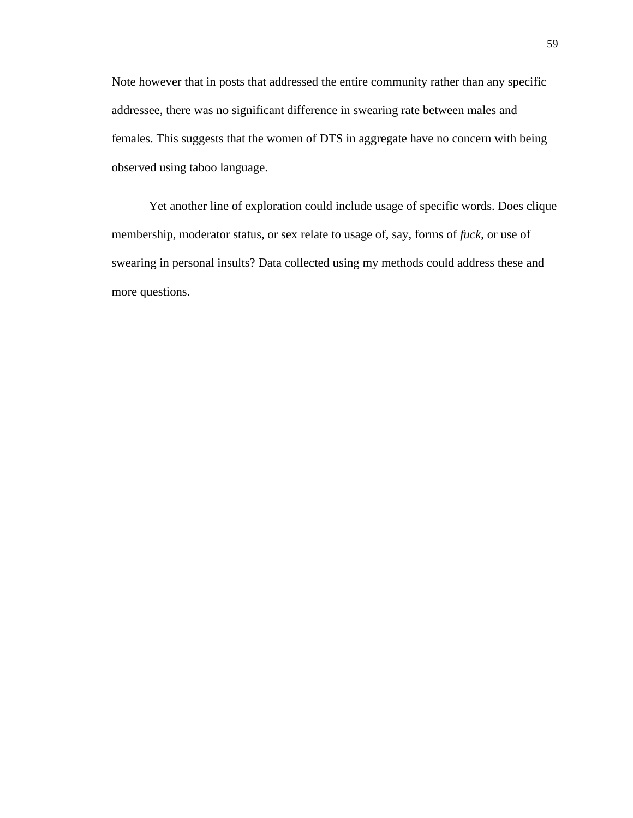Note however that in posts that addressed the entire community rather than any specific addressee, there was no significant difference in swearing rate between males and females. This suggests that the women of DTS in aggregate have no concern with being observed using taboo language.

Yet another line of exploration could include usage of specific words. Does clique membership, moderator status, or sex relate to usage of, say, forms of *fuck*, or use of swearing in personal insults? Data collected using my methods could address these and more questions.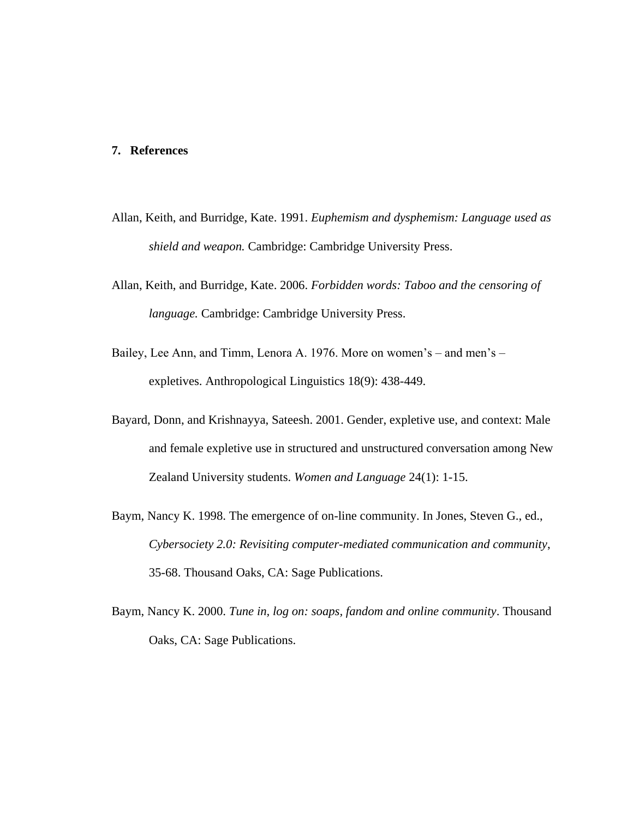## **7. References**

- Allan, Keith, and Burridge, Kate. 1991. *Euphemism and dysphemism: Language used as shield and weapon.* Cambridge: Cambridge University Press.
- Allan, Keith, and Burridge, Kate. 2006. *Forbidden words: Taboo and the censoring of language.* Cambridge: Cambridge University Press.
- Bailey, Lee Ann, and Timm, Lenora A. 1976. More on women's and men's expletives. Anthropological Linguistics 18(9): 438-449.
- Bayard, Donn, and Krishnayya, Sateesh. 2001. Gender, expletive use, and context: Male and female expletive use in structured and unstructured conversation among New Zealand University students. *Women and Language* 24(1): 1-15.
- Baym, Nancy K. 1998. The emergence of on-line community. In Jones, Steven G., ed., *Cybersociety 2.0: Revisiting computer-mediated communication and community*, 35-68. Thousand Oaks, CA: Sage Publications.
- Baym, Nancy K. 2000. *Tune in, log on: soaps, fandom and online community*. Thousand Oaks, CA: Sage Publications.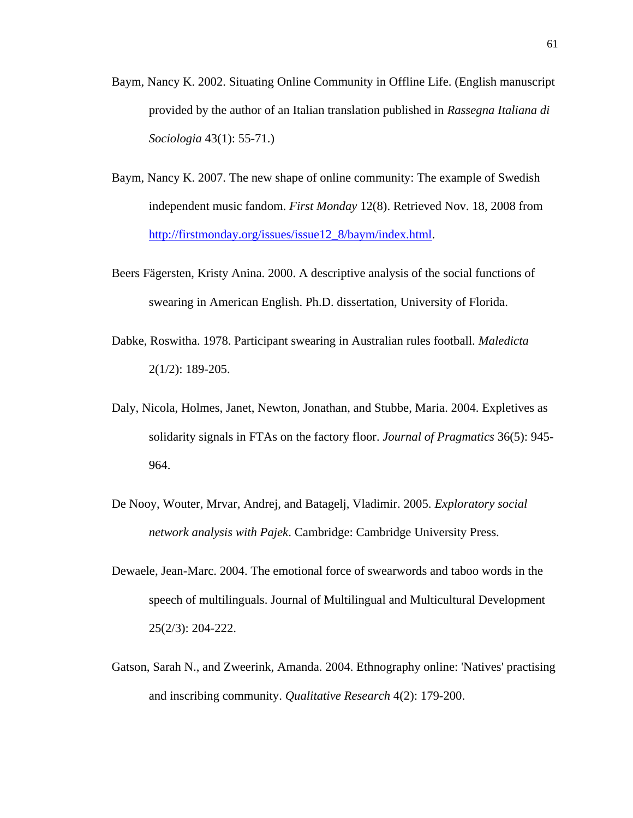- Baym, Nancy K. 2002. Situating Online Community in Offline Life. (English manuscript provided by the author of an Italian translation published in *Rassegna Italiana di Sociologia* 43(1): 55-71.)
- Baym, Nancy K. 2007. The new shape of online community: The example of Swedish independent music fandom. *First Monday* 12(8). Retrieved Nov. 18, 2008 from [http://firstmonday.org/issues/issue12\\_8/baym/index.html.](http://firstmonday.org/issues/issue12_8/baym/index.html)
- Beers Fägersten, Kristy Anina. 2000. A descriptive analysis of the social functions of swearing in American English. Ph.D. dissertation, University of Florida.
- Dabke, Roswitha. 1978. Participant swearing in Australian rules football. *Maledicta* 2(1/2): 189-205.
- Daly, Nicola, Holmes, Janet, Newton, Jonathan, and Stubbe, Maria. 2004. Expletives as solidarity signals in FTAs on the factory floor. *Journal of Pragmatics* 36(5): 945- 964.
- De Nooy, Wouter, Mrvar, Andrej, and Batagelj, Vladimir. 2005. *Exploratory social network analysis with Pajek*. Cambridge: Cambridge University Press.
- Dewaele, Jean-Marc. 2004. The emotional force of swearwords and taboo words in the speech of multilinguals. Journal of Multilingual and Multicultural Development 25(2/3): 204-222.
- Gatson, Sarah N., and Zweerink, Amanda. 2004. Ethnography online: 'Natives' practising and inscribing community. *Qualitative Research* 4(2): 179-200.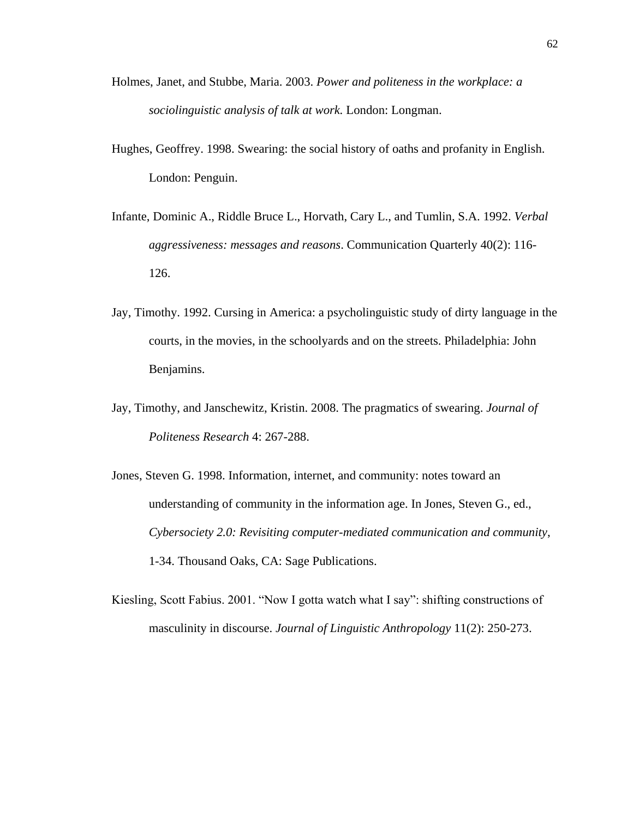- Holmes, Janet, and Stubbe, Maria. 2003. *Power and politeness in the workplace: a sociolinguistic analysis of talk at work.* London: Longman.
- Hughes, Geoffrey. 1998. Swearing: the social history of oaths and profanity in English. London: Penguin.
- Infante, Dominic A., Riddle Bruce L., Horvath, Cary L., and Tumlin, S.A. 1992. *Verbal aggressiveness: messages and reasons*. Communication Quarterly 40(2): 116- 126.
- Jay, Timothy. 1992. Cursing in America: a psycholinguistic study of dirty language in the courts, in the movies, in the schoolyards and on the streets. Philadelphia: John Benjamins.
- Jay, Timothy, and Janschewitz, Kristin. 2008. The pragmatics of swearing. *Journal of Politeness Research* 4: 267-288.
- Jones, Steven G. 1998. Information, internet, and community: notes toward an understanding of community in the information age. In Jones, Steven G., ed., *Cybersociety 2.0: Revisiting computer-mediated communication and community*, 1-34. Thousand Oaks, CA: Sage Publications.
- Kiesling, Scott Fabius. 2001. "Now I gotta watch what I say": shifting constructions of masculinity in discourse. *Journal of Linguistic Anthropology* 11(2): 250-273.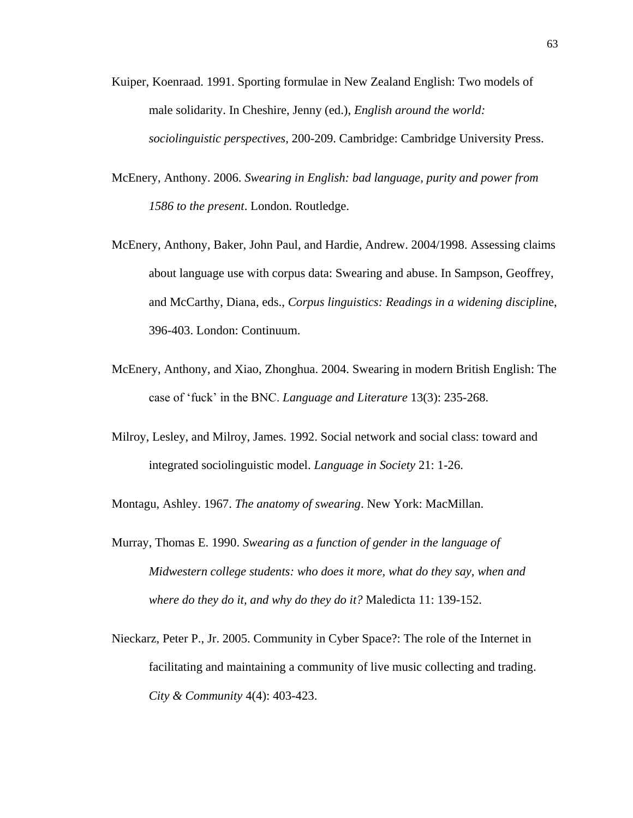- Kuiper, Koenraad. 1991. Sporting formulae in New Zealand English: Two models of male solidarity. In Cheshire, Jenny (ed.), *English around the world: sociolinguistic perspectives*, 200-209. Cambridge: Cambridge University Press.
- McEnery, Anthony. 2006. *Swearing in English: bad language, purity and power from 1586 to the present*. London. Routledge.
- McEnery, Anthony, Baker, John Paul, and Hardie, Andrew. 2004/1998. Assessing claims about language use with corpus data: Swearing and abuse. In Sampson, Geoffrey, and McCarthy, Diana, eds., *Corpus linguistics: Readings in a widening disciplin*e, 396-403. London: Continuum.
- McEnery, Anthony, and Xiao, Zhonghua. 2004. Swearing in modern British English: The case of 'fuck' in the BNC. *Language and Literature* 13(3): 235-268.
- Milroy, Lesley, and Milroy, James. 1992. Social network and social class: toward and integrated sociolinguistic model. *Language in Society* 21: 1-26.

Montagu, Ashley. 1967. *The anatomy of swearing*. New York: MacMillan.

- Murray, Thomas E. 1990. *Swearing as a function of gender in the language of Midwestern college students: who does it more, what do they say, when and where do they do it, and why do they do it?* Maledicta 11: 139-152.
- Nieckarz, Peter P., Jr. 2005. Community in Cyber Space?: The role of the Internet in facilitating and maintaining a community of live music collecting and trading. *City & Community* 4(4): 403-423.